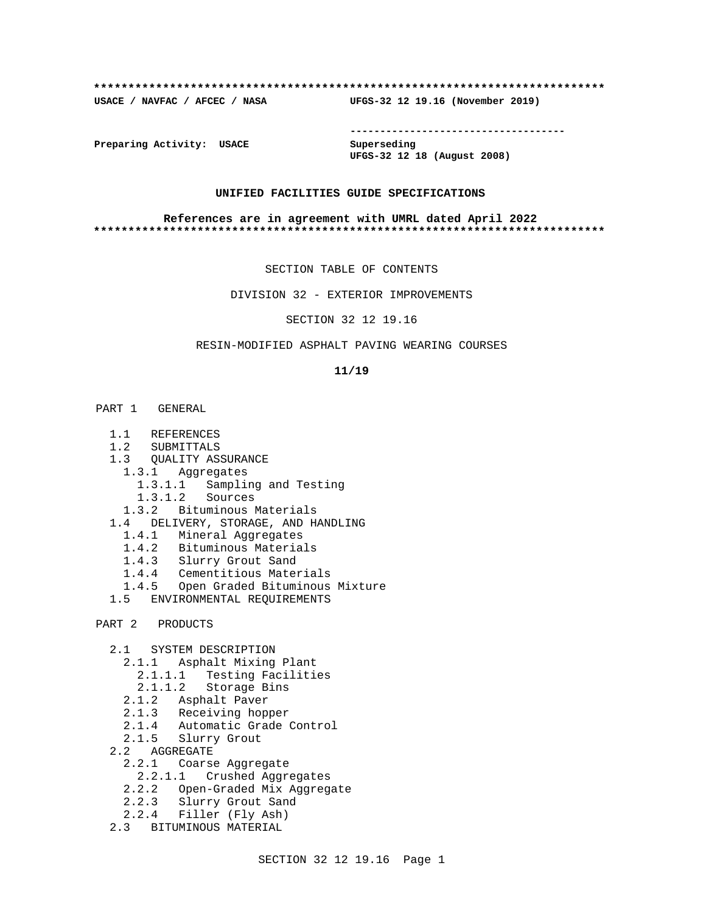#### **\*\*\*\*\*\*\*\*\*\*\*\*\*\*\*\*\*\*\*\*\*\*\*\*\*\*\*\*\*\*\*\*\*\*\*\*\*\*\*\*\*\*\*\*\*\*\*\*\*\*\*\*\*\*\*\*\*\*\*\*\*\*\*\*\*\*\*\*\*\*\*\*\*\***

**USACE / NAVFAC / AFCEC / NASA UFGS-32 12 19.16 (November 2019)**

**------------------------------------**

**Preparing Activity: USACE Superseding**

**UFGS-32 12 18 (August 2008)**

### **UNIFIED FACILITIES GUIDE SPECIFICATIONS**

#### **References are in agreement with UMRL dated April 2022 \*\*\*\*\*\*\*\*\*\*\*\*\*\*\*\*\*\*\*\*\*\*\*\*\*\*\*\*\*\*\*\*\*\*\*\*\*\*\*\*\*\*\*\*\*\*\*\*\*\*\*\*\*\*\*\*\*\*\*\*\*\*\*\*\*\*\*\*\*\*\*\*\*\***

SECTION TABLE OF CONTENTS

DIVISION 32 - EXTERIOR IMPROVEMENTS

SECTION 32 12 19.16

## RESIN-MODIFIED ASPHALT PAVING WEARING COURSES

#### **11/19**

- PART 1 GENERAL
	- 1.1 REFERENCES
	- 1.2 SUBMITTALS
	- 1.3 QUALITY ASSURANCE
		- 1.3.1 Aggregates
			- 1.3.1.1 Sampling and Testing
			- 1.3.1.2 Sources
		- 1.3.2 Bituminous Materials
	- 1.4 DELIVERY, STORAGE, AND HANDLING
- 1.4.1 Mineral Aggregates
- 1.4.2 Bituminous Materials
	- 1.4.3 Slurry Grout Sand
	- 1.4.4 Cementitious Materials
	- 1.4.5 Open Graded Bituminous Mixture
	- 1.5 ENVIRONMENTAL REQUIREMENTS
- PART 2 PRODUCTS
	- 2.1 SYSTEM DESCRIPTION
		- 2.1.1 Asphalt Mixing Plant
- 2.1.1.1 Testing Facilities
- 2.1.1.2 Storage Bins
	- 2.1.2 Asphalt Paver
	- 2.1.3 Receiving hopper
	- 2.1.4 Automatic Grade Control
	- 2.1.5 Slurry Grout
	- 2.2 AGGREGATE
		- 2.2.1 Coarse Aggregate
		- 2.2.1.1 Crushed Aggregates
		- 2.2.2 Open-Graded Mix Aggregate
		- 2.2.3 Slurry Grout Sand
	- 2.2.4 Filler (Fly Ash)
	- 2.3 BITUMINOUS MATERIAL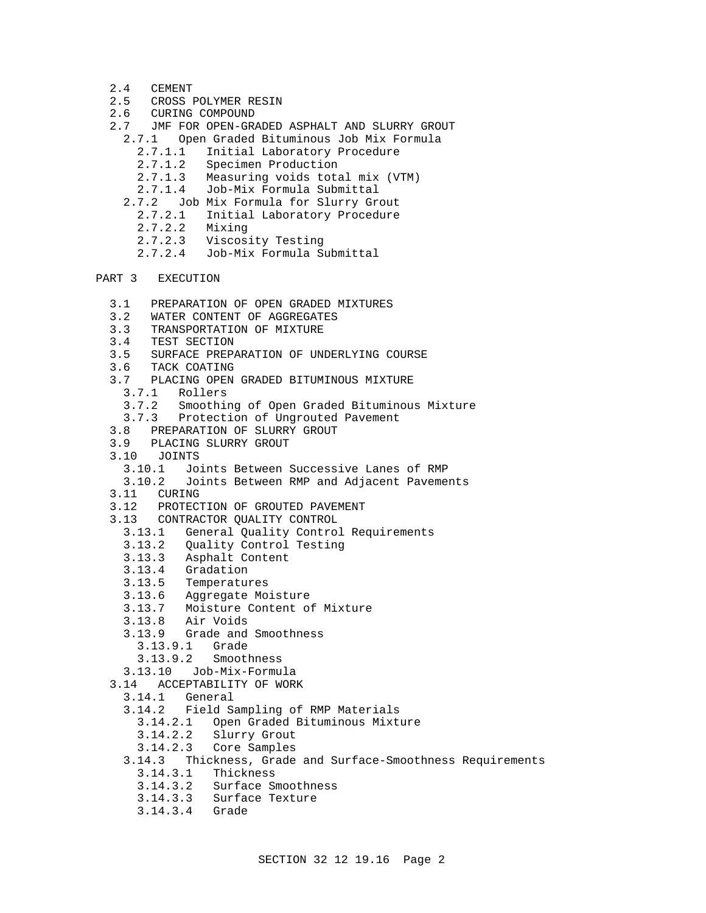- 2.4 CEMENT
- 2.5 CROSS POLYMER RESIN
- 2.6 CURING COMPOUND
- 2.7 JMF FOR OPEN-GRADED ASPHALT AND SLURRY GROUT
	- 2.7.1 Open Graded Bituminous Job Mix Formula
		- 2.7.1.1 Initial Laboratory Procedure
		- 2.7.1.2 Specimen Production
		- 2.7.1.3 Measuring voids total mix (VTM)
		- 2.7.1.4 Job-Mix Formula Submittal
	- 2.7.2 Job Mix Formula for Slurry Grout
	- 2.7.2.1 Initial Laboratory Procedure
	- 2.7.2.2 Mixing
	- 2.7.2.3 Viscosity Testing
	- 2.7.2.4 Job-Mix Formula Submittal
- PART 3 EXECUTION
	- 3.1 PREPARATION OF OPEN GRADED MIXTURES
	- 3.2 WATER CONTENT OF AGGREGATES
	- 3.3 TRANSPORTATION OF MIXTURE
	- 3.4 TEST SECTION
	- 3.5 SURFACE PREPARATION OF UNDERLYING COURSE
	- 3.6 TACK COATING
	- 3.7 PLACING OPEN GRADED BITUMINOUS MIXTURE
		- 3.7.1 Rollers
		- 3.7.2 Smoothing of Open Graded Bituminous Mixture
	- Protection of Ungrouted Pavement
	- 3.8 PREPARATION OF SLURRY GROUT
	- 3.9 PLACING SLURRY GROUT
	- 3.10 JOINTS
		- 3.10.1 Joints Between Successive Lanes of RMP
		- 3.10.2 Joints Between RMP and Adjacent Pavements
	- 3.11 CURING
	- 3.12 PROTECTION OF GROUTED PAVEMENT
	- 3.13 CONTRACTOR QUALITY CONTROL
		- 3.13.1 General Quality Control Requirements
		- 3.13.2 Quality Control Testing
		- 3.13.3 Asphalt Content
		- 3.13.4 Gradation
		- 3.13.5 Temperatures
		- 3.13.6 Aggregate Moisture
		- 3.13.7 Moisture Content of Mixture
		- 3.13.8 Air Voids
		- 3.13.9 Grade and Smoothness
			- 3.13.9.1 Grade
			- 3.13.9.2 Smoothness
		- 3.13.10 Job-Mix-Formula
	- 3.14 ACCEPTABILITY OF WORK
	- 3.14.1 General
		- 3.14.2 Field Sampling of RMP Materials
			- 3.14.2.1 Open Graded Bituminous Mixture
			- Slurry Grout
			- 3.14.2.3 Core Samples
		- 3.14.3 Thickness, Grade and Surface-Smoothness Requirements
		- 3.14.3.1 Thickness
			- 3.14.3.2 Surface Smoothness
			- 3.14.3.3 Surface Texture
			- 3.14.3.4 Grade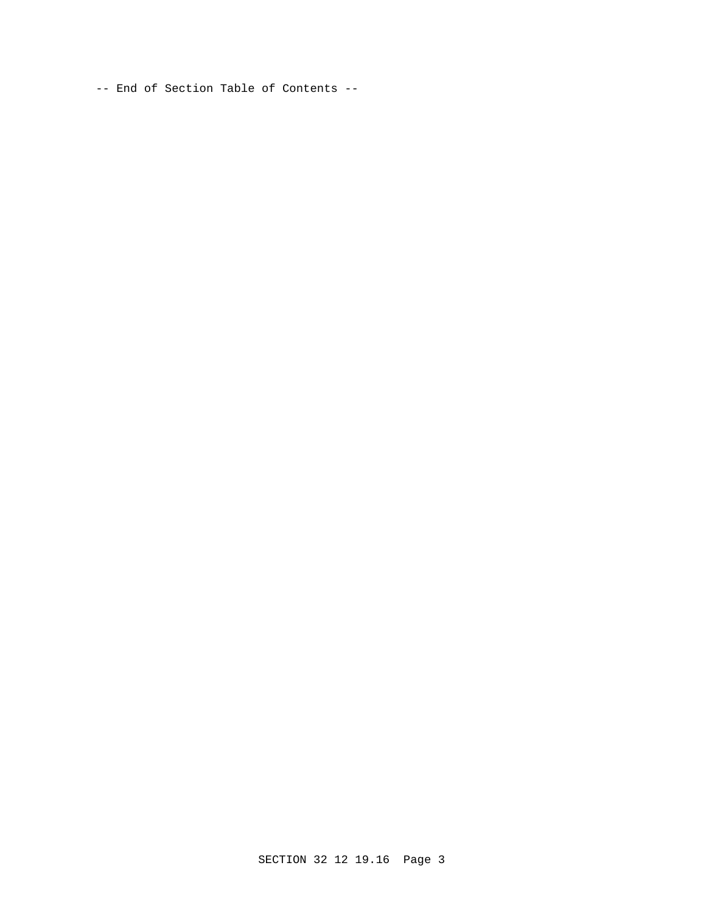-- End of Section Table of Contents --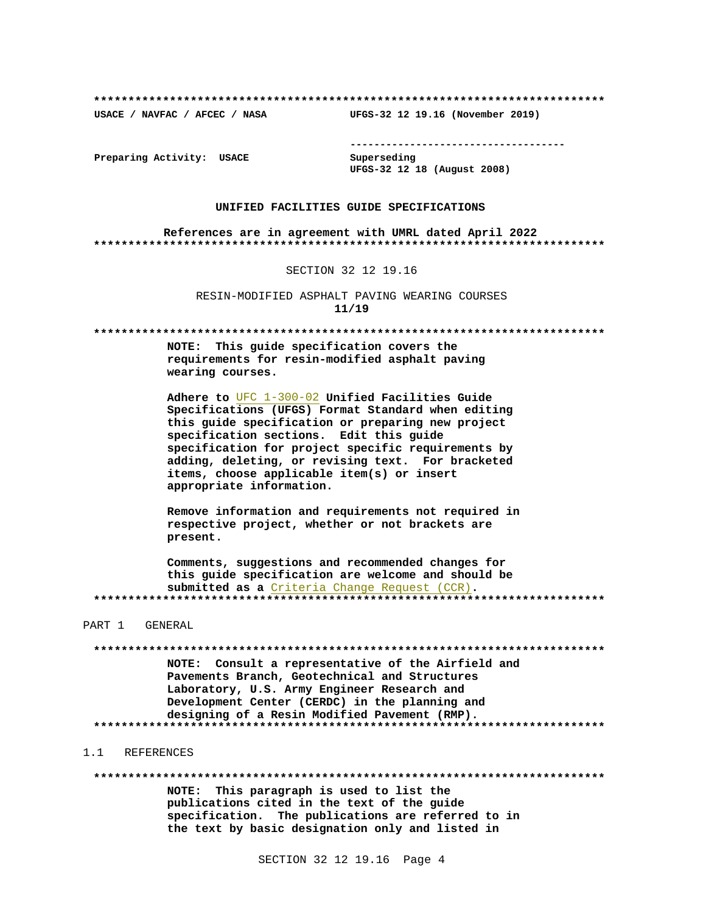USACE / NAVFAC / AFCEC / NASA

--------------------------------------

Preparing Activity: USACE

Superseding UFGS-32 12 18 (August 2008)

UFGS-32 12 19.16 (November 2019)

#### UNIFIED FACILITIES GUIDE SPECIFICATIONS

References are in agreement with UMRL dated April 2022 

SECTION 32 12 19.16

RESIN-MODIFIED ASPHALT PAVING WEARING COURSES  $11/19$ 

NOTE: This guide specification covers the requirements for resin-modified asphalt paving wearing courses.

Adhere to UFC 1-300-02 Unified Facilities Guide Specifications (UFGS) Format Standard when editing this quide specification or preparing new project specification sections. Edit this guide specification for project specific requirements by adding, deleting, or revising text. For bracketed items, choose applicable item(s) or insert appropriate information.

Remove information and requirements not required in respective project, whether or not brackets are present.

Comments, suggestions and recommended changes for this guide specification are welcome and should be submitted as a Criteria Change Request (CCR). 

PART 1 GENERAL

NOTE: Consult a representative of the Airfield and Pavements Branch, Geotechnical and Structures Laboratory, U.S. Army Engineer Research and Development Center (CERDC) in the planning and designing of a Resin Modified Pavement (RMP). 

1.1 REFERENCES

NOTE: This paragraph is used to list the publications cited in the text of the quide specification. The publications are referred to in the text by basic designation only and listed in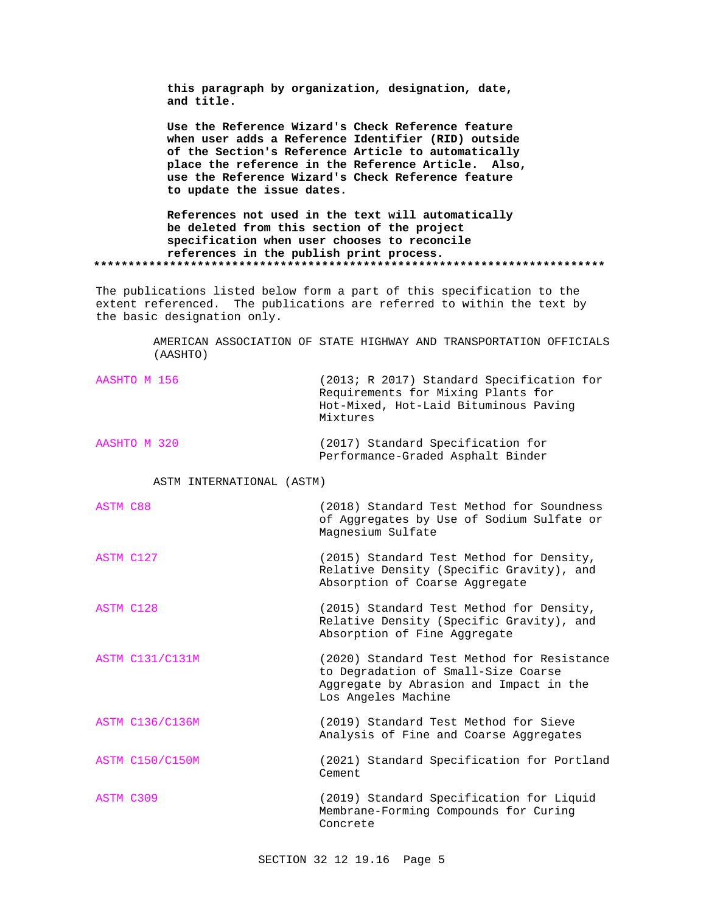**this paragraph by organization, designation, date, and title.**

**Use the Reference Wizard's Check Reference feature when user adds a Reference Identifier (RID) outside of the Section's Reference Article to automatically place the reference in the Reference Article. Also, use the Reference Wizard's Check Reference feature to update the issue dates.**

**References not used in the text will automatically be deleted from this section of the project specification when user chooses to reconcile references in the publish print process. \*\*\*\*\*\*\*\*\*\*\*\*\*\*\*\*\*\*\*\*\*\*\*\*\*\*\*\*\*\*\*\*\*\*\*\*\*\*\*\*\*\*\*\*\*\*\*\*\*\*\*\*\*\*\*\*\*\*\*\*\*\*\*\*\*\*\*\*\*\*\*\*\*\***

The publications listed below form a part of this specification to the extent referenced. The publications are referred to within the text by the basic designation only.

> AMERICAN ASSOCIATION OF STATE HIGHWAY AND TRANSPORTATION OFFICIALS (AASHTO)

| AASHTO M 156 | (2013; R 2017) Standard Specification for<br>Requirements for Mixing Plants for<br>Hot-Mixed, Hot-Laid Bituminous Paving<br>Mixtures |
|--------------|--------------------------------------------------------------------------------------------------------------------------------------|
| AASHTO M 320 | (2017) Standard Specification for<br>Performance-Graded Asphalt Binder                                                               |

ASTM INTERNATIONAL (ASTM)

| ASTM C88  | (2018) Standard Test Method for Soundness<br>of Aggregates by Use of Sodium Sulfate or<br>Magnesium Sulfate            |
|-----------|------------------------------------------------------------------------------------------------------------------------|
| ASTM C127 | (2015) Standard Test Method for Density,<br>Relative Density (Specific Gravity), and<br>Absorption of Coarse Aggregate |

ASTM C128 (2015) Standard Test Method for Density, Relative Density (Specific Gravity), and Absorption of Fine Aggregate

ASTM C131/C131M (2020) Standard Test Method for Resistance to Degradation of Small-Size Coarse Aggregate by Abrasion and Impact in the Los Angeles Machine

ASTM C136/C136M (2019) Standard Test Method for Sieve Analysis of Fine and Coarse Aggregates

ASTM C150/C150M (2021) Standard Specification for Portland Cement

ASTM C309 (2019) Standard Specification for Liquid Membrane-Forming Compounds for Curing Concrete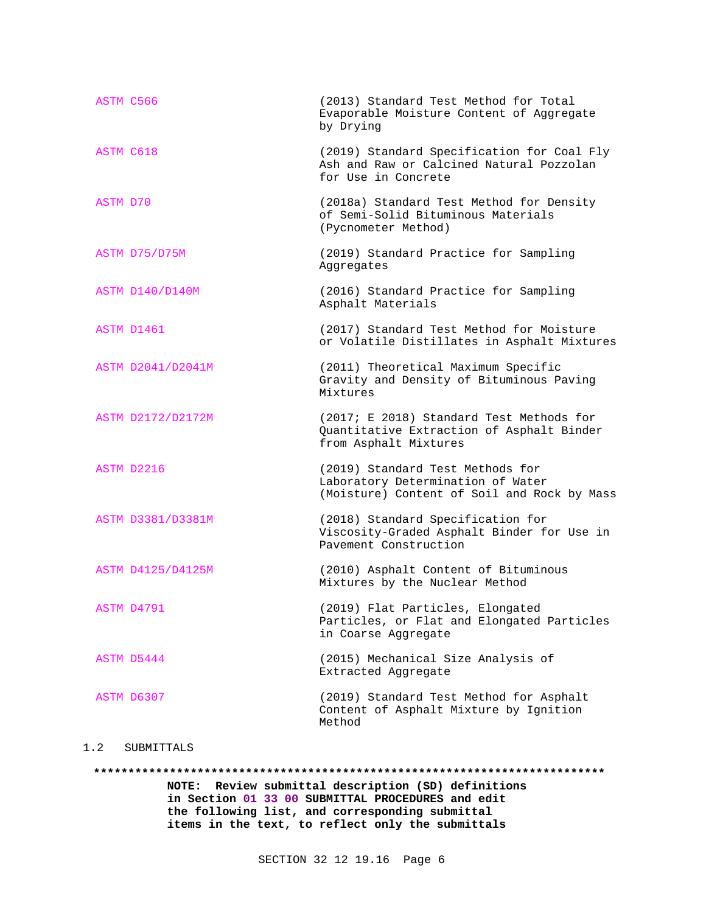| ASTM C566         | (2013) Standard Test Method for Total<br>Evaporable Moisture Content of Aggregate<br>by Drying                       |
|-------------------|----------------------------------------------------------------------------------------------------------------------|
| <b>ASTM C618</b>  | (2019) Standard Specification for Coal Fly<br>Ash and Raw or Calcined Natural Pozzolan<br>for Use in Concrete        |
| ASTM D70          | (2018a) Standard Test Method for Density<br>of Semi-Solid Bituminous Materials<br>(Pycnometer Method)                |
| ASTM D75/D75M     | (2019) Standard Practice for Sampling<br>Aggregates                                                                  |
| ASTM D140/D140M   | (2016) Standard Practice for Sampling<br>Asphalt Materials                                                           |
| ASTM D1461        | (2017) Standard Test Method for Moisture<br>or Volatile Distillates in Asphalt Mixtures                              |
| ASTM D2041/D2041M | (2011) Theoretical Maximum Specific<br>Gravity and Density of Bituminous Paving<br>Mixtures                          |
| ASTM D2172/D2172M | (2017; E 2018) Standard Test Methods for<br>Quantitative Extraction of Asphalt Binder<br>from Asphalt Mixtures       |
| ASTM D2216        | (2019) Standard Test Methods for<br>Laboratory Determination of Water<br>(Moisture) Content of Soil and Rock by Mass |
| ASTM D3381/D3381M | (2018) Standard Specification for<br>Viscosity-Graded Asphalt Binder for Use in<br>Pavement Construction             |
| ASTM D4125/D4125M | (2010) Asphalt Content of Bituminous<br>Mixtures by the Nuclear Method                                               |
| ASTM D4791        | (2019) Flat Particles, Elongated<br>Particles, or Flat and Elongated Particles<br>in Coarse Aggregate                |
| ASTM D5444        | (2015) Mechanical Size Analysis of<br>Extracted Aggregate                                                            |
| ASTM D6307        | (2019) Standard Test Method for Asphalt<br>Content of Asphalt Mixture by Ignition<br>Method                          |

# 1.2 SUBMITTALS

**\*\*\*\*\*\*\*\*\*\*\*\*\*\*\*\*\*\*\*\*\*\*\*\*\*\*\*\*\*\*\*\*\*\*\*\*\*\*\*\*\*\*\*\*\*\*\*\*\*\*\*\*\*\*\*\*\*\*\*\*\*\*\*\*\*\*\*\*\*\*\*\*\*\* NOTE: Review submittal description (SD) definitions in Section 01 33 00 SUBMITTAL PROCEDURES and edit the following list, and corresponding submittal**

**items in the text, to reflect only the submittals**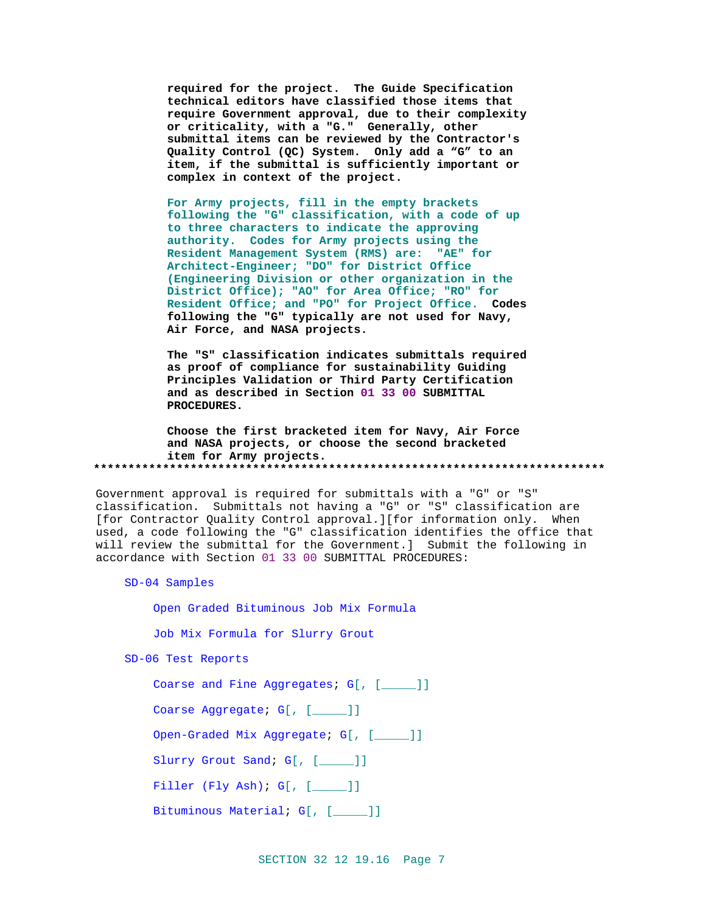required for the project. The Guide Specification technical editors have classified those items that require Government approval, due to their complexity or criticality, with a "G." Generally, other submittal items can be reviewed by the Contractor's Quality Control (QC) System. Only add a "G" to an item, if the submittal is sufficiently important or complex in context of the project.

For Army projects, fill in the empty brackets following the "G" classification, with a code of up to three characters to indicate the approving authority. Codes for Army projects using the Resident Management System (RMS) are: "AE" for Architect-Engineer; "DO" for District Office (Engineering Division or other organization in the District Office); "AO" for Area Office; "RO" for Resident Office; and "PO" for Project Office. Codes following the "G" typically are not used for Navy, Air Force, and NASA projects.

The "S" classification indicates submittals required as proof of compliance for sustainability Guiding Principles Validation or Third Party Certification and as described in Section 01 33 00 SUBMITTAL PROCEDURES.

Choose the first bracketed item for Navy, Air Force and NASA projects, or choose the second bracketed item for Army projects. 

Government approval is required for submittals with a "G" or "S" classification. Submittals not having a "G" or "S" classification are [for Contractor Quality Control approval.][for information only. When used, a code following the "G" classification identifies the office that will review the submittal for the Government.] Submit the following in accordance with Section 01 33 00 SUBMITTAL PROCEDURES:

SD-04 Samples

Open Graded Bituminous Job Mix Formula

Job Mix Formula for Slurry Grout

SD-06 Test Reports

Coarse and Fine Aggregates; G[, [\_\_\_\_]]

Coarse Aggregate; G[, [\_\_\_\_]]

Open-Graded Mix Aggregate; G[, [\_\_\_\_]]

Slurry Grout Sand; G[, [\_\_\_\_]]

Filler  $(Fly Ash): G[, [$ 

Bituminous Material; G[, [\_\_\_\_]]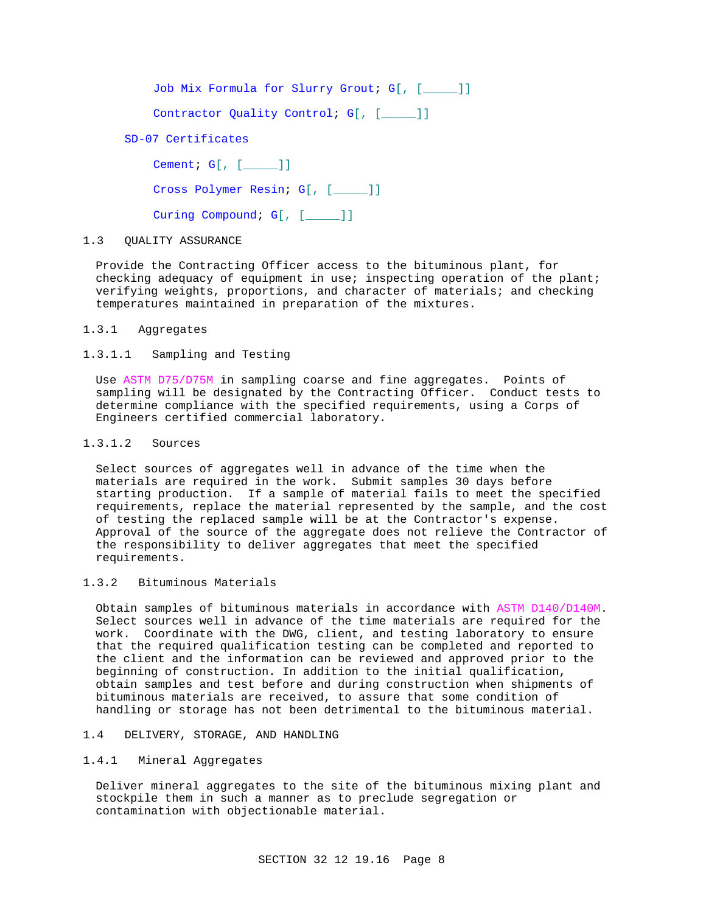Job Mix Formula for Slurry Grout; G[, [\_\_\_\_\_]]

Contractor Quality Control; G[, [\_\_\_\_]]

SD-07 Certificates

Cement; G[, [ \_\_\_\_\_]]

Cross Polymer Resin; G[, [\_\_\_\_\_]]

Curing Compound; G[, [\_\_\_\_]]

### 1.3 QUALITY ASSURANCE

Provide the Contracting Officer access to the bituminous plant, for checking adequacy of equipment in use; inspecting operation of the plant; verifying weights, proportions, and character of materials; and checking temperatures maintained in preparation of the mixtures.

1.3.1 Aggregates

## 1.3.1.1 Sampling and Testing

Use ASTM D75/D75M in sampling coarse and fine aggregates. Points of sampling will be designated by the Contracting Officer. Conduct tests to determine compliance with the specified requirements, using a Corps of Engineers certified commercial laboratory.

## 1.3.1.2 Sources

Select sources of aggregates well in advance of the time when the materials are required in the work. Submit samples 30 days before starting production. If a sample of material fails to meet the specified requirements, replace the material represented by the sample, and the cost of testing the replaced sample will be at the Contractor's expense. Approval of the source of the aggregate does not relieve the Contractor of the responsibility to deliver aggregates that meet the specified requirements.

### 1.3.2 Bituminous Materials

Obtain samples of bituminous materials in accordance with ASTM D140/D140M. Select sources well in advance of the time materials are required for the work. Coordinate with the DWG, client, and testing laboratory to ensure that the required qualification testing can be completed and reported to the client and the information can be reviewed and approved prior to the beginning of construction. In addition to the initial qualification, obtain samples and test before and during construction when shipments of bituminous materials are received, to assure that some condition of handling or storage has not been detrimental to the bituminous material.

## 1.4 DELIVERY, STORAGE, AND HANDLING

## 1.4.1 Mineral Aggregates

Deliver mineral aggregates to the site of the bituminous mixing plant and stockpile them in such a manner as to preclude segregation or contamination with objectionable material.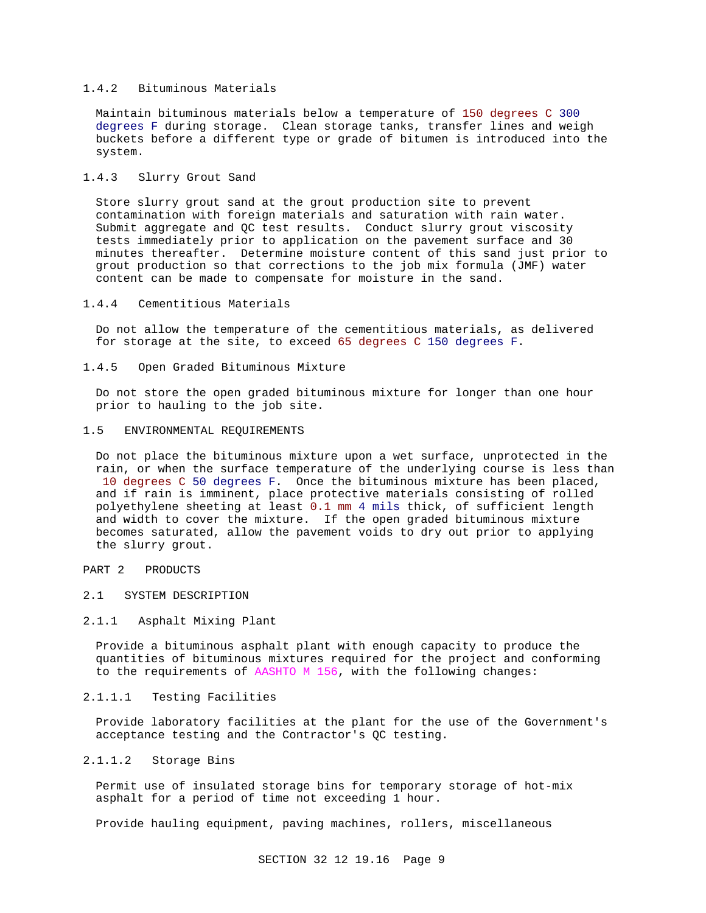## 1.4.2 Bituminous Materials

Maintain bituminous materials below a temperature of 150 degrees C 300 degrees F during storage. Clean storage tanks, transfer lines and weigh buckets before a different type or grade of bitumen is introduced into the system.

## 1.4.3 Slurry Grout Sand

Store slurry grout sand at the grout production site to prevent contamination with foreign materials and saturation with rain water. Submit aggregate and QC test results. Conduct slurry grout viscosity tests immediately prior to application on the pavement surface and 30 minutes thereafter. Determine moisture content of this sand just prior to grout production so that corrections to the job mix formula (JMF) water content can be made to compensate for moisture in the sand.

#### 1.4.4 Cementitious Materials

Do not allow the temperature of the cementitious materials, as delivered for storage at the site, to exceed 65 degrees C 150 degrees F.

1.4.5 Open Graded Bituminous Mixture

Do not store the open graded bituminous mixture for longer than one hour prior to hauling to the job site.

#### 1.5 ENVIRONMENTAL REQUIREMENTS

Do not place the bituminous mixture upon a wet surface, unprotected in the rain, or when the surface temperature of the underlying course is less than 10 degrees C 50 degrees F. Once the bituminous mixture has been placed, and if rain is imminent, place protective materials consisting of rolled polyethylene sheeting at least 0.1 mm 4 mils thick, of sufficient length and width to cover the mixture. If the open graded bituminous mixture becomes saturated, allow the pavement voids to dry out prior to applying the slurry grout.

## PART 2 PRODUCTS

## 2.1 SYSTEM DESCRIPTION

#### 2.1.1 Asphalt Mixing Plant

Provide a bituminous asphalt plant with enough capacity to produce the quantities of bituminous mixtures required for the project and conforming to the requirements of AASHTO M 156, with the following changes:

### 2.1.1.1 Testing Facilities

Provide laboratory facilities at the plant for the use of the Government's acceptance testing and the Contractor's QC testing.

### 2.1.1.2 Storage Bins

Permit use of insulated storage bins for temporary storage of hot-mix asphalt for a period of time not exceeding 1 hour.

Provide hauling equipment, paving machines, rollers, miscellaneous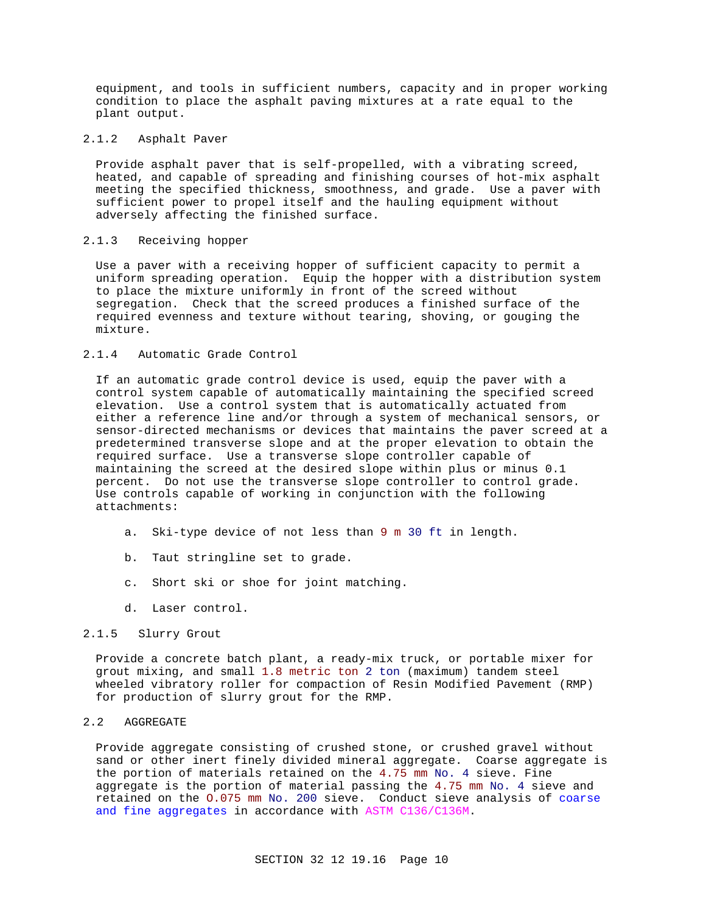equipment, and tools in sufficient numbers, capacity and in proper working condition to place the asphalt paving mixtures at a rate equal to the plant output.

### 2.1.2 Asphalt Paver

Provide asphalt paver that is self-propelled, with a vibrating screed, heated, and capable of spreading and finishing courses of hot-mix asphalt meeting the specified thickness, smoothness, and grade. Use a paver with sufficient power to propel itself and the hauling equipment without adversely affecting the finished surface.

## 2.1.3 Receiving hopper

Use a paver with a receiving hopper of sufficient capacity to permit a uniform spreading operation. Equip the hopper with a distribution system to place the mixture uniformly in front of the screed without segregation. Check that the screed produces a finished surface of the required evenness and texture without tearing, shoving, or gouging the mixture.

# 2.1.4 Automatic Grade Control

If an automatic grade control device is used, equip the paver with a control system capable of automatically maintaining the specified screed elevation. Use a control system that is automatically actuated from either a reference line and/or through a system of mechanical sensors, or sensor-directed mechanisms or devices that maintains the paver screed at a predetermined transverse slope and at the proper elevation to obtain the required surface. Use a transverse slope controller capable of maintaining the screed at the desired slope within plus or minus 0.1 percent. Do not use the transverse slope controller to control grade. Use controls capable of working in conjunction with the following attachments:

- a. Ski-type device of not less than 9 m 30 ft in length.
- b. Taut stringline set to grade.
- c. Short ski or shoe for joint matching.
- d. Laser control.

## 2.1.5 Slurry Grout

Provide a concrete batch plant, a ready-mix truck, or portable mixer for grout mixing, and small 1.8 metric ton 2 ton (maximum) tandem steel wheeled vibratory roller for compaction of Resin Modified Pavement (RMP) for production of slurry grout for the RMP.

## 2.2 AGGREGATE

Provide aggregate consisting of crushed stone, or crushed gravel without sand or other inert finely divided mineral aggregate. Coarse aggregate is the portion of materials retained on the 4.75 mm No. 4 sieve. Fine aggregate is the portion of material passing the 4.75 mm No. 4 sieve and retained on the O.075 mm No. 200 sieve. Conduct sieve analysis of coarse and fine aggregates in accordance with ASTM C136/C136M.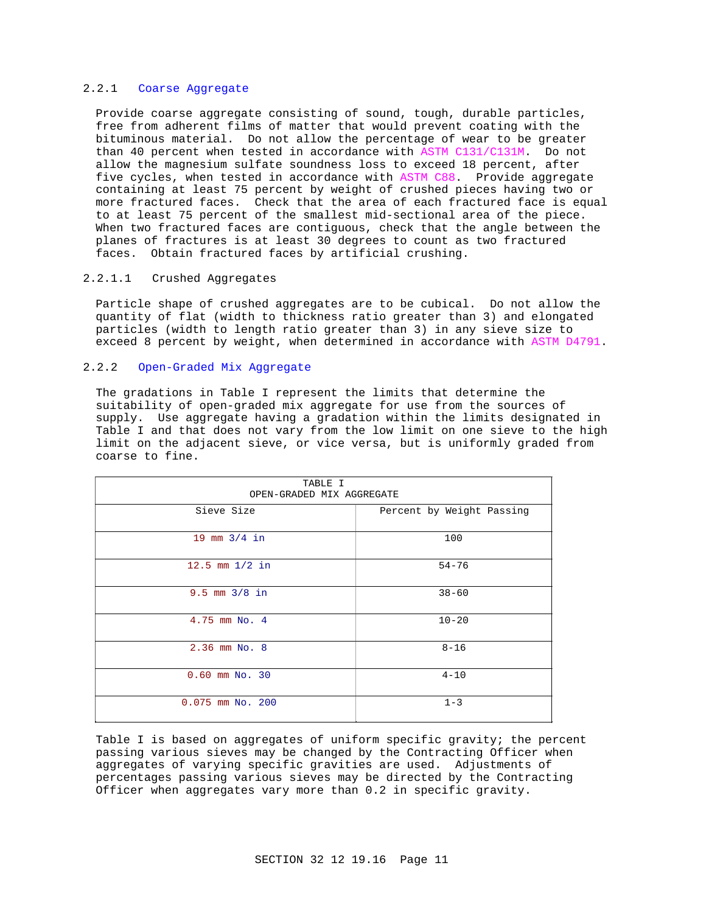## 2.2.1 Coarse Aggregate

Provide coarse aggregate consisting of sound, tough, durable particles, free from adherent films of matter that would prevent coating with the bituminous material. Do not allow the percentage of wear to be greater than 40 percent when tested in accordance with ASTM C131/C131M. Do not allow the magnesium sulfate soundness loss to exceed 18 percent, after five cycles, when tested in accordance with ASTM C88. Provide aggregate containing at least 75 percent by weight of crushed pieces having two or more fractured faces. Check that the area of each fractured face is equal to at least 75 percent of the smallest mid-sectional area of the piece. When two fractured faces are contiguous, check that the angle between the planes of fractures is at least 30 degrees to count as two fractured faces. Obtain fractured faces by artificial crushing.

# 2.2.1.1 Crushed Aggregates

Particle shape of crushed aggregates are to be cubical. Do not allow the quantity of flat (width to thickness ratio greater than 3) and elongated particles (width to length ratio greater than 3) in any sieve size to exceed 8 percent by weight, when determined in accordance with ASTM D4791.

## 2.2.2 Open-Graded Mix Aggregate

The gradations in Table I represent the limits that determine the suitability of open-graded mix aggregate for use from the sources of supply. Use aggregate having a gradation within the limits designated in Table I and that does not vary from the low limit on one sieve to the high limit on the adjacent sieve, or vice versa, but is uniformly graded from coarse to fine.

| TABLE I<br>OPEN-GRADED MIX AGGREGATE |                           |  |
|--------------------------------------|---------------------------|--|
| Sieve Size                           | Percent by Weight Passing |  |
| 19 mm $3/4$ in                       | 100                       |  |
| 12.5 mm $1/2$ in                     | $54 - 76$                 |  |
| $9.5$ mm $3/8$ in                    | $38 - 60$                 |  |
| 4.75 mm No. 4                        | $10 - 20$                 |  |
| 2.36 mm No. 8                        | $8 - 16$                  |  |
| $0.60$ mm $No.30$                    | $4 - 10$                  |  |
| $0.075$ mm No. 200                   | $1 - 3$                   |  |

Table I is based on aggregates of uniform specific gravity; the percent passing various sieves may be changed by the Contracting Officer when aggregates of varying specific gravities are used. Adjustments of percentages passing various sieves may be directed by the Contracting Officer when aggregates vary more than 0.2 in specific gravity.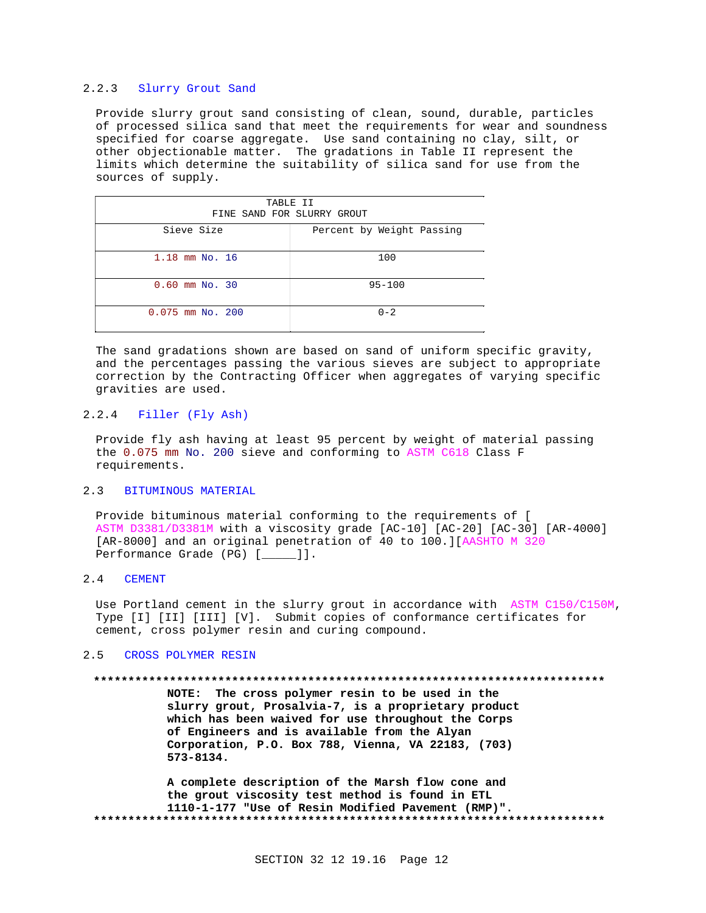## 2.2.3 Slurry Grout Sand

Provide slurry grout sand consisting of clean, sound, durable, particles of processed silica sand that meet the requirements for wear and soundness specified for coarse aggregate. Use sand containing no clay, silt, or other objectionable matter. The gradations in Table II represent the limits which determine the suitability of silica sand for use from the sources of supply.

| TABLE II                   |                           |  |
|----------------------------|---------------------------|--|
| FINE SAND FOR SLURRY GROUT |                           |  |
| Sieve Size                 | Percent by Weight Passing |  |
|                            |                           |  |
| $1.18$ mm No. $16$         | 100                       |  |
| $0.60$ mm No. 30           | $95 - 100$                |  |
| $0.075$ mm No. 200         | $0 - 2$                   |  |

The sand gradations shown are based on sand of uniform specific gravity, and the percentages passing the various sieves are subject to appropriate correction by the Contracting Officer when aggregates of varying specific gravities are used.

## 2.2.4 Filler (Fly Ash)

Provide fly ash having at least 95 percent by weight of material passing the 0.075 mm No. 200 sieve and conforming to ASTM C618 Class F requirements.

## 2.3 BITUMINOUS MATERIAL

Provide bituminous material conforming to the requirements of [ ASTM D3381/D3381M with a viscosity grade [AC-10] [AC-20] [AC-30] [AR-4000] [AR-8000] and an original penetration of 40 to 100.][AASHTO M 320 Performance Grade (PG) [\_\_\_\_\_]].

#### 2.4 CEMENT

Use Portland cement in the slurry grout in accordance with ASTM C150/C150M, Type [I] [II] [III] [V]. Submit copies of conformance certificates for cement, cross polymer resin and curing compound.

### 2.5 CROSS POLYMER RESIN

#### **\*\*\*\*\*\*\*\*\*\*\*\*\*\*\*\*\*\*\*\*\*\*\*\*\*\*\*\*\*\*\*\*\*\*\*\*\*\*\*\*\*\*\*\*\*\*\*\*\*\*\*\*\*\*\*\*\*\*\*\*\*\*\*\*\*\*\*\*\*\*\*\*\*\***

**NOTE: The cross polymer resin to be used in the slurry grout, Prosalvia-7, is a proprietary product which has been waived for use throughout the Corps of Engineers and is available from the Alyan Corporation, P.O. Box 788, Vienna, VA 22183, (703) 573-8134.**

**A complete description of the Marsh flow cone and the grout viscosity test method is found in ETL 1110-1-177 "Use of Resin Modified Pavement (RMP)". \*\*\*\*\*\*\*\*\*\*\*\*\*\*\*\*\*\*\*\*\*\*\*\*\*\*\*\*\*\*\*\*\*\*\*\*\*\*\*\*\*\*\*\*\*\*\*\*\*\*\*\*\*\*\*\*\*\*\*\*\*\*\*\*\*\*\*\*\*\*\*\*\*\***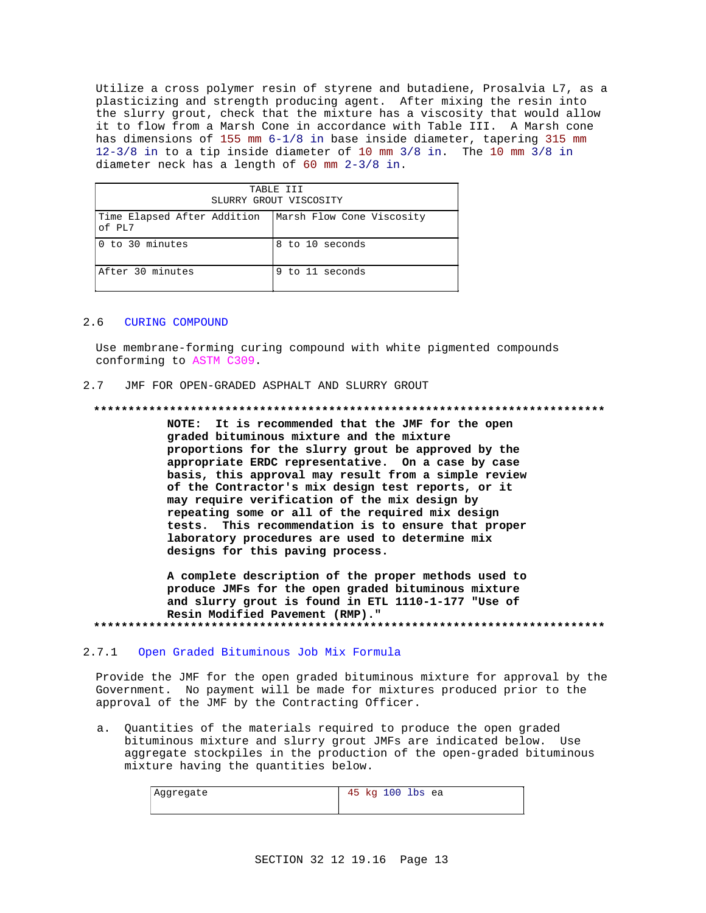Utilize a cross polymer resin of styrene and butadiene, Prosalvia L7, as a plasticizing and strength producing agent. After mixing the resin into the slurry grout, check that the mixture has a viscosity that would allow it to flow from a Marsh Cone in accordance with Table III. A Marsh cone has dimensions of 155 mm 6-1/8 in base inside diameter, tapering 315 mm 12-3/8 in to a tip inside diameter of 10 mm 3/8 in. The 10 mm 3/8 in diameter neck has a length of 60 mm 2-3/8 in.

| TABLE III<br>SLURRY GROUT VISCOSITY   |                           |  |
|---------------------------------------|---------------------------|--|
| Time Elapsed After Addition<br>of PL7 | Marsh Flow Cone Viscosity |  |
| 0 to 30 minutes                       | 8 to 10 seconds           |  |
| After 30 minutes                      | 9 to 11 seconds           |  |

#### 2.6 CURING COMPOUND

Use membrane-forming curing compound with white pigmented compounds conforming to ASTM C309.

### 2.7 JMF FOR OPEN-GRADED ASPHALT AND SLURRY GROUT

#### **\*\*\*\*\*\*\*\*\*\*\*\*\*\*\*\*\*\*\*\*\*\*\*\*\*\*\*\*\*\*\*\*\*\*\*\*\*\*\*\*\*\*\*\*\*\*\*\*\*\*\*\*\*\*\*\*\*\*\*\*\*\*\*\*\*\*\*\*\*\*\*\*\*\***

**NOTE: It is recommended that the JMF for the open graded bituminous mixture and the mixture proportions for the slurry grout be approved by the appropriate ERDC representative. On a case by case basis, this approval may result from a simple review of the Contractor's mix design test reports, or it may require verification of the mix design by repeating some or all of the required mix design tests. This recommendation is to ensure that proper laboratory procedures are used to determine mix designs for this paving process.**

**A complete description of the proper methods used to produce JMFs for the open graded bituminous mixture and slurry grout is found in ETL 1110-1-177 "Use of Resin Modified Pavement (RMP)." \*\*\*\*\*\*\*\*\*\*\*\*\*\*\*\*\*\*\*\*\*\*\*\*\*\*\*\*\*\*\*\*\*\*\*\*\*\*\*\*\*\*\*\*\*\*\*\*\*\*\*\*\*\*\*\*\*\*\*\*\*\*\*\*\*\*\*\*\*\*\*\*\*\***

#### 2.7.1 Open Graded Bituminous Job Mix Formula

Provide the JMF for the open graded bituminous mixture for approval by the Government. No payment will be made for mixtures produced prior to the approval of the JMF by the Contracting Officer.

a. Quantities of the materials required to produce the open graded bituminous mixture and slurry grout JMFs are indicated below. Use aggregate stockpiles in the production of the open-graded bituminous mixture having the quantities below.

| Aggregate | 45 kg 100 lbs ea |
|-----------|------------------|
|           |                  |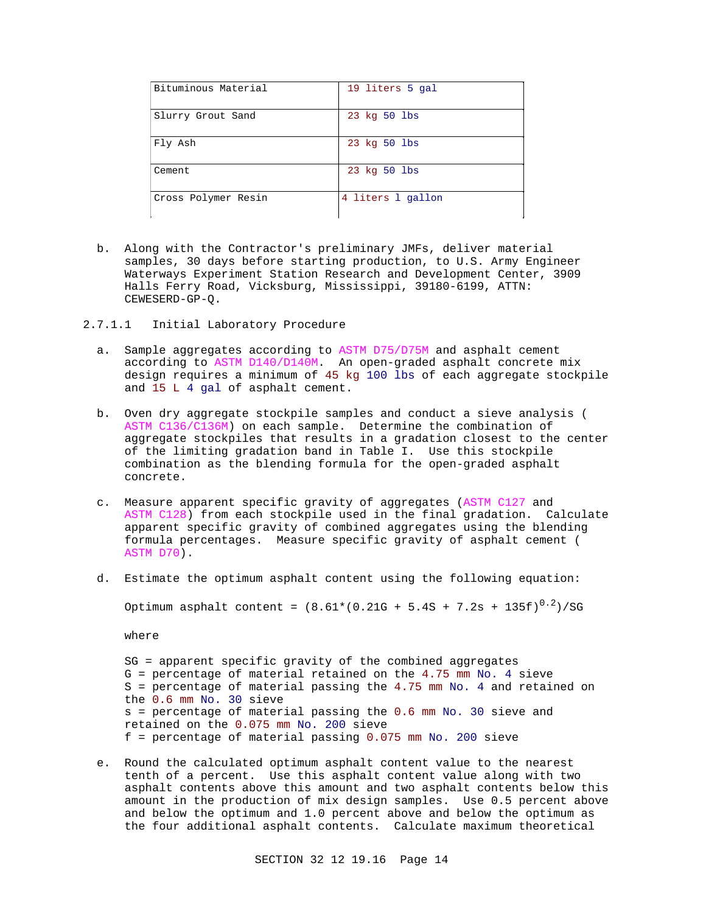| Bituminous Material | 19 liters 5 gal   |
|---------------------|-------------------|
| Slurry Grout Sand   | 23 kg 50 lbs      |
| Fly Ash             | 23 kg 50 lbs      |
| Cement              | 23 kg 50 lbs      |
| Cross Polymer Resin | 4 liters 1 gallon |

- b. Along with the Contractor's preliminary JMFs, deliver material samples, 30 days before starting production, to U.S. Army Engineer Waterways Experiment Station Research and Development Center, 3909 Halls Ferry Road, Vicksburg, Mississippi, 39180-6199, ATTN: CEWESERD-GP-Q.
- 2.7.1.1 Initial Laboratory Procedure
	- a. Sample aggregates according to ASTM D75/D75M and asphalt cement according to ASTM D140/D140M. An open-graded asphalt concrete mix design requires a minimum of 45 kg 100 lbs of each aggregate stockpile and 15 L 4 gal of asphalt cement.
	- b. Oven dry aggregate stockpile samples and conduct a sieve analysis ( ASTM C136/C136M) on each sample. Determine the combination of aggregate stockpiles that results in a gradation closest to the center of the limiting gradation band in Table I. Use this stockpile combination as the blending formula for the open-graded asphalt concrete.
	- c. Measure apparent specific gravity of aggregates (ASTM C127 and ASTM C128) from each stockpile used in the final gradation. Calculate apparent specific gravity of combined aggregates using the blending formula percentages. Measure specific gravity of asphalt cement ( ASTM D70).
	- d. Estimate the optimum asphalt content using the following equation:

Optimum asphalt content =  $(8.61*(0.21G + 5.4S + 7.2s + 135f)^{0.2})/SG$ 

where

SG = apparent specific gravity of the combined aggregates G = percentage of material retained on the 4.75 mm No. 4 sieve  $S =$  percentage of material passing the 4.75 mm No. 4 and retained on the 0.6 mm No. 30 sieve s = percentage of material passing the 0.6 mm No. 30 sieve and retained on the 0.075 mm No. 200 sieve f = percentage of material passing 0.075 mm No. 200 sieve

e. Round the calculated optimum asphalt content value to the nearest tenth of a percent. Use this asphalt content value along with two asphalt contents above this amount and two asphalt contents below this amount in the production of mix design samples. Use 0.5 percent above and below the optimum and 1.0 percent above and below the optimum as the four additional asphalt contents. Calculate maximum theoretical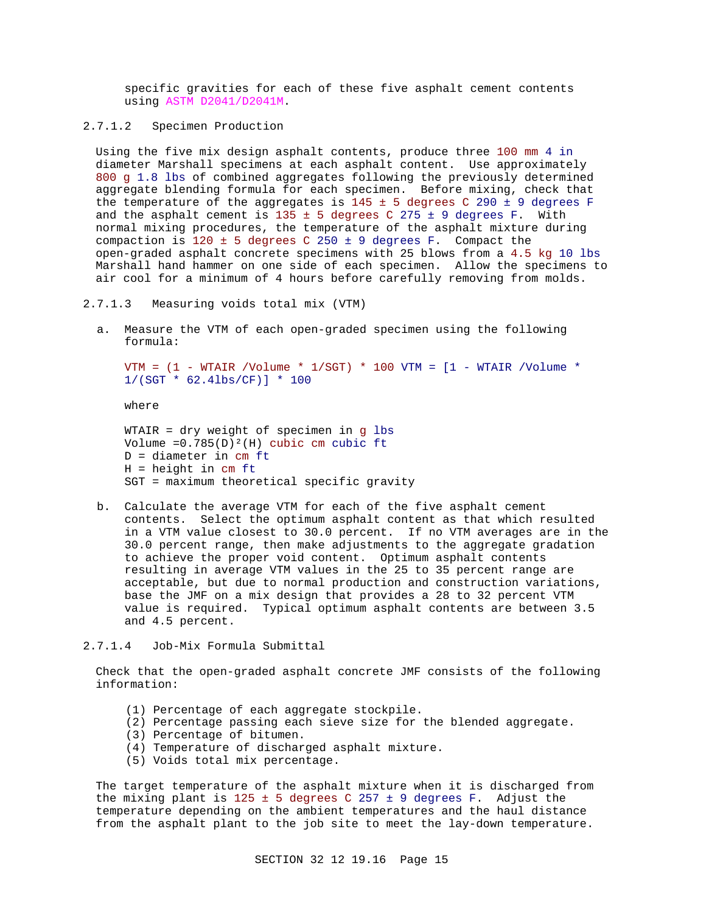specific gravities for each of these five asphalt cement contents using ASTM D2041/D2041M.

2.7.1.2 Specimen Production

Using the five mix design asphalt contents, produce three 100 mm 4 in diameter Marshall specimens at each asphalt content. Use approximately 800 g 1.8 lbs of combined aggregates following the previously determined aggregate blending formula for each specimen. Before mixing, check that the temperature of the aggregates is  $145 \pm 5$  degrees C 290  $\pm$  9 degrees F and the asphalt cement is  $135 \pm 5$  degrees C 275  $\pm$  9 degrees F. With normal mixing procedures, the temperature of the asphalt mixture during compaction is  $120 \pm 5$  degrees C 250  $\pm$  9 degrees F. Compact the open-graded asphalt concrete specimens with 25 blows from a 4.5 kg 10 lbs Marshall hand hammer on one side of each specimen. Allow the specimens to air cool for a minimum of 4 hours before carefully removing from molds.

- 2.7.1.3 Measuring voids total mix (VTM)
	- a. Measure the VTM of each open-graded specimen using the following formula:

VTM =  $(1 - WTAIR / Volume * 1/SGT) * 100 VTM = [1 - WTAIR / Volume * 100 VTM = 150 VTHT]$ 1/(SGT \* 62.4lbs/CF)] \* 100

where

WTAIR = dry weight of specimen in g lbs Volume =0.785(D)²(H) cubic cm cubic ft D = diameter in cm ft H = height in cm ft SGT = maximum theoretical specific gravity

- b. Calculate the average VTM for each of the five asphalt cement contents. Select the optimum asphalt content as that which resulted in a VTM value closest to 30.0 percent. If no VTM averages are in the 30.0 percent range, then make adjustments to the aggregate gradation to achieve the proper void content. Optimum asphalt contents resulting in average VTM values in the 25 to 35 percent range are acceptable, but due to normal production and construction variations, base the JMF on a mix design that provides a 28 to 32 percent VTM value is required. Typical optimum asphalt contents are between 3.5 and 4.5 percent.
- 2.7.1.4 Job-Mix Formula Submittal

Check that the open-graded asphalt concrete JMF consists of the following information:

- (1) Percentage of each aggregate stockpile.
- (2) Percentage passing each sieve size for the blended aggregate.
- (3) Percentage of bitumen.
- (4) Temperature of discharged asphalt mixture.
- (5) Voids total mix percentage.

The target temperature of the asphalt mixture when it is discharged from the mixing plant is  $125 \pm 5$  degrees C 257  $\pm$  9 degrees F. Adjust the temperature depending on the ambient temperatures and the haul distance from the asphalt plant to the job site to meet the lay-down temperature.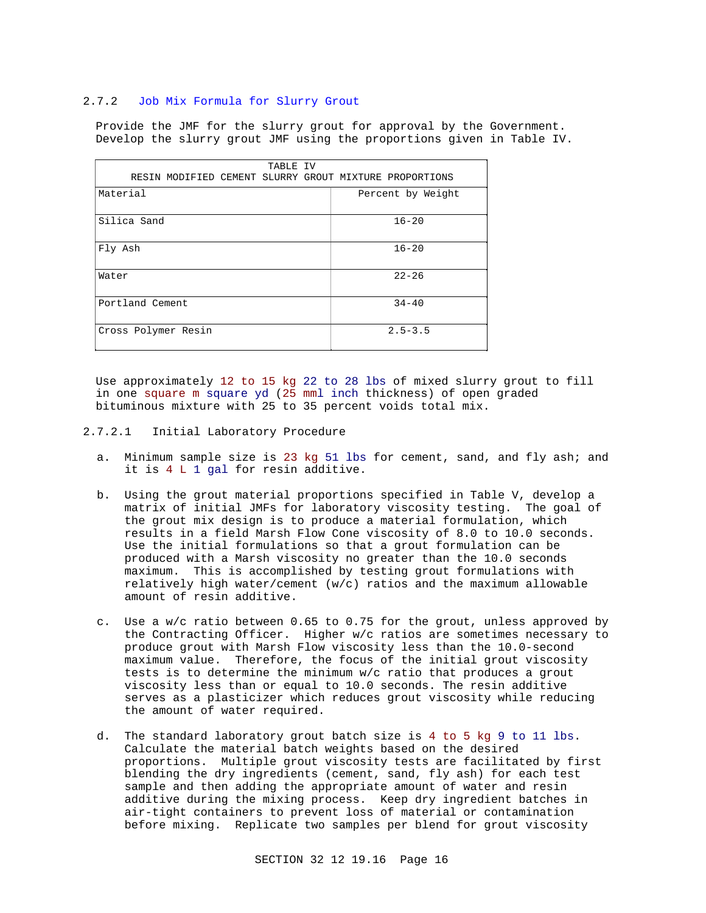### 2.7.2 Job Mix Formula for Slurry Grout

Provide the JMF for the slurry grout for approval by the Government. Develop the slurry grout JMF using the proportions given in Table IV.

| TABLE IV                                               |                   |
|--------------------------------------------------------|-------------------|
| RESIN MODIFIED CEMENT SLURRY GROUT MIXTURE PROPORTIONS |                   |
| Material                                               | Percent by Weight |
|                                                        |                   |
| Silica Sand                                            | $16 - 20$         |
| Fly Ash                                                | $16 - 20$         |
| Water                                                  | $22 - 26$         |
| Portland Cement                                        | $34 - 40$         |
| Cross Polymer Resin                                    | $2.5 - 3.5$       |

Use approximately 12 to 15 kg 22 to 28 lbs of mixed slurry grout to fill in one square m square yd (25 mml inch thickness) of open graded bituminous mixture with 25 to 35 percent voids total mix.

- 2.7.2.1 Initial Laboratory Procedure
	- a. Minimum sample size is 23 kg 51 lbs for cement, sand, and fly ash; and it is 4 L 1 gal for resin additive.
	- b. Using the grout material proportions specified in Table V, develop a matrix of initial JMFs for laboratory viscosity testing. The goal of the grout mix design is to produce a material formulation, which results in a field Marsh Flow Cone viscosity of 8.0 to 10.0 seconds. Use the initial formulations so that a grout formulation can be produced with a Marsh viscosity no greater than the 10.0 seconds maximum. This is accomplished by testing grout formulations with relatively high water/cement (w/c) ratios and the maximum allowable amount of resin additive.
	- c. Use a w/c ratio between 0.65 to 0.75 for the grout, unless approved by the Contracting Officer. Higher w/c ratios are sometimes necessary to produce grout with Marsh Flow viscosity less than the 10.0-second maximum value. Therefore, the focus of the initial grout viscosity tests is to determine the minimum w/c ratio that produces a grout viscosity less than or equal to 10.0 seconds. The resin additive serves as a plasticizer which reduces grout viscosity while reducing the amount of water required.
	- d. The standard laboratory grout batch size is 4 to 5 kg 9 to 11 lbs. Calculate the material batch weights based on the desired proportions. Multiple grout viscosity tests are facilitated by first blending the dry ingredients (cement, sand, fly ash) for each test sample and then adding the appropriate amount of water and resin additive during the mixing process. Keep dry ingredient batches in air-tight containers to prevent loss of material or contamination before mixing. Replicate two samples per blend for grout viscosity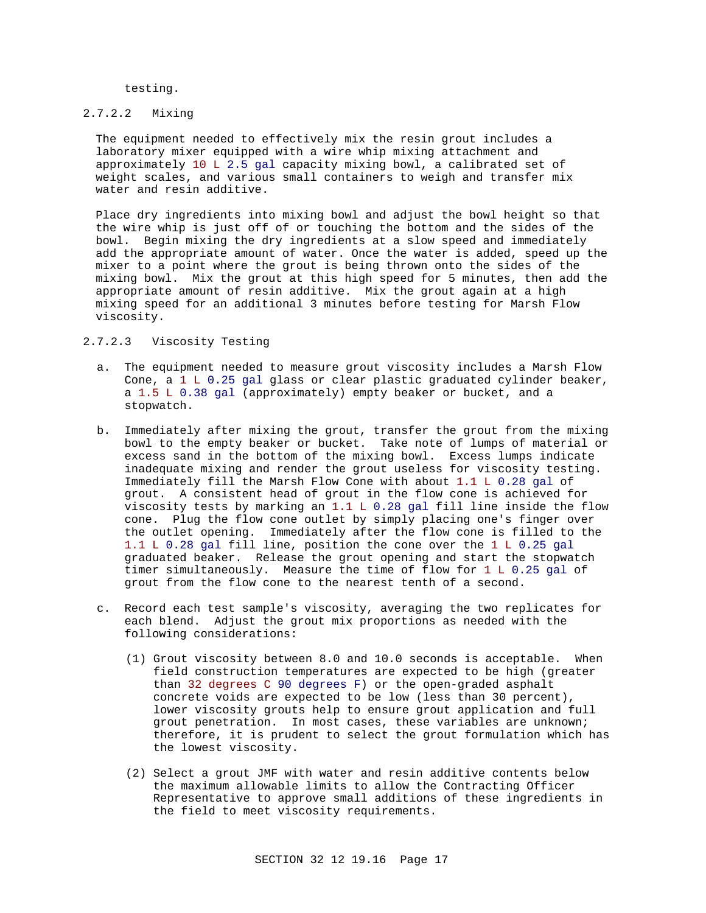testing.

## 2.7.2.2 Mixing

The equipment needed to effectively mix the resin grout includes a laboratory mixer equipped with a wire whip mixing attachment and approximately 10 L 2.5 gal capacity mixing bowl, a calibrated set of weight scales, and various small containers to weigh and transfer mix water and resin additive.

Place dry ingredients into mixing bowl and adjust the bowl height so that the wire whip is just off of or touching the bottom and the sides of the bowl. Begin mixing the dry ingredients at a slow speed and immediately add the appropriate amount of water. Once the water is added, speed up the mixer to a point where the grout is being thrown onto the sides of the mixing bowl. Mix the grout at this high speed for 5 minutes, then add the appropriate amount of resin additive. Mix the grout again at a high mixing speed for an additional 3 minutes before testing for Marsh Flow viscosity.

## 2.7.2.3 Viscosity Testing

- a. The equipment needed to measure grout viscosity includes a Marsh Flow Cone, a 1 L 0.25 gal glass or clear plastic graduated cylinder beaker, a 1.5 L 0.38 gal (approximately) empty beaker or bucket, and a stopwatch.
- b. Immediately after mixing the grout, transfer the grout from the mixing bowl to the empty beaker or bucket. Take note of lumps of material or excess sand in the bottom of the mixing bowl. Excess lumps indicate inadequate mixing and render the grout useless for viscosity testing. Immediately fill the Marsh Flow Cone with about 1.1 L 0.28 gal of grout. A consistent head of grout in the flow cone is achieved for viscosity tests by marking an 1.1 L 0.28 gal fill line inside the flow cone. Plug the flow cone outlet by simply placing one's finger over the outlet opening. Immediately after the flow cone is filled to the 1.1 L 0.28 gal fill line, position the cone over the 1 L 0.25 gal graduated beaker. Release the grout opening and start the stopwatch timer simultaneously. Measure the time of flow for 1 L 0.25 gal of grout from the flow cone to the nearest tenth of a second.
- c. Record each test sample's viscosity, averaging the two replicates for each blend. Adjust the grout mix proportions as needed with the following considerations:
	- (1) Grout viscosity between 8.0 and 10.0 seconds is acceptable. When field construction temperatures are expected to be high (greater than 32 degrees C 90 degrees F) or the open-graded asphalt concrete voids are expected to be low (less than 30 percent), lower viscosity grouts help to ensure grout application and full grout penetration. In most cases, these variables are unknown; therefore, it is prudent to select the grout formulation which has the lowest viscosity.
	- (2) Select a grout JMF with water and resin additive contents below the maximum allowable limits to allow the Contracting Officer Representative to approve small additions of these ingredients in the field to meet viscosity requirements.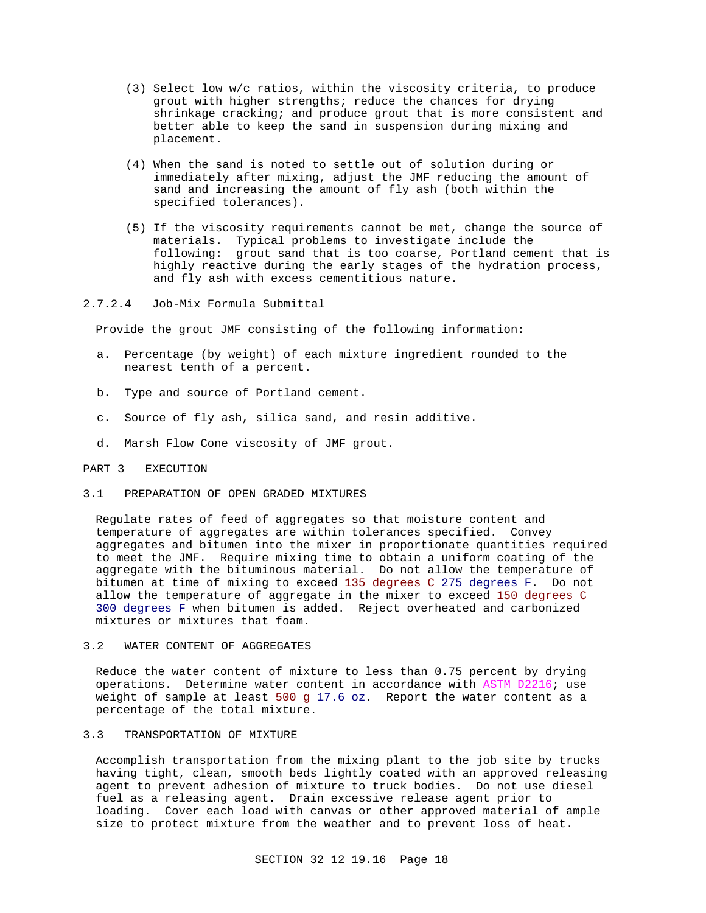- (3) Select low w/c ratios, within the viscosity criteria, to produce grout with higher strengths; reduce the chances for drying shrinkage cracking; and produce grout that is more consistent and better able to keep the sand in suspension during mixing and placement.
- (4) When the sand is noted to settle out of solution during or immediately after mixing, adjust the JMF reducing the amount of sand and increasing the amount of fly ash (both within the specified tolerances).
- (5) If the viscosity requirements cannot be met, change the source of materials. Typical problems to investigate include the following: grout sand that is too coarse, Portland cement that is highly reactive during the early stages of the hydration process, and fly ash with excess cementitious nature.

### 2.7.2.4 Job-Mix Formula Submittal

Provide the grout JMF consisting of the following information:

- a. Percentage (by weight) of each mixture ingredient rounded to the nearest tenth of a percent.
- b. Type and source of Portland cement.
- c. Source of fly ash, silica sand, and resin additive.
- d. Marsh Flow Cone viscosity of JMF grout.

#### PART 3 EXECUTION

# 3.1 PREPARATION OF OPEN GRADED MIXTURES

Regulate rates of feed of aggregates so that moisture content and temperature of aggregates are within tolerances specified. Convey aggregates and bitumen into the mixer in proportionate quantities required to meet the JMF. Require mixing time to obtain a uniform coating of the aggregate with the bituminous material. Do not allow the temperature of bitumen at time of mixing to exceed 135 degrees C 275 degrees F. Do not allow the temperature of aggregate in the mixer to exceed 150 degrees C 300 degrees F when bitumen is added. Reject overheated and carbonized mixtures or mixtures that foam.

3.2 WATER CONTENT OF AGGREGATES

Reduce the water content of mixture to less than 0.75 percent by drying operations. Determine water content in accordance with ASTM D2216; use weight of sample at least 500 g 17.6 oz. Report the water content as a percentage of the total mixture.

## 3.3 TRANSPORTATION OF MIXTURE

Accomplish transportation from the mixing plant to the job site by trucks having tight, clean, smooth beds lightly coated with an approved releasing agent to prevent adhesion of mixture to truck bodies. Do not use diesel fuel as a releasing agent. Drain excessive release agent prior to loading. Cover each load with canvas or other approved material of ample size to protect mixture from the weather and to prevent loss of heat.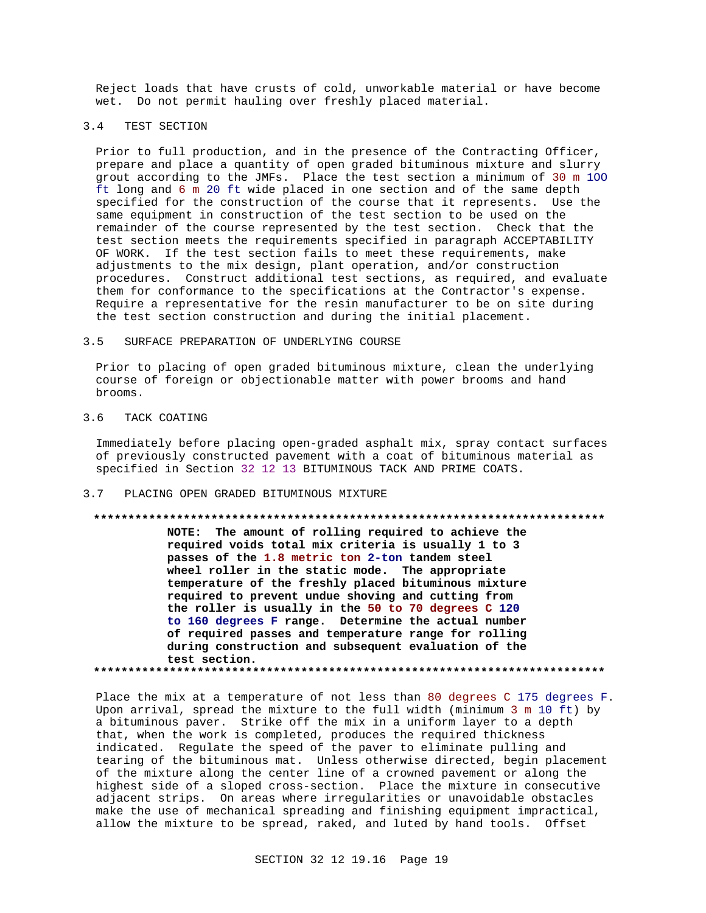Reject loads that have crusts of cold, unworkable material or have become wet. Do not permit hauling over freshly placed material.

## 3.4 TEST SECTION

Prior to full production, and in the presence of the Contracting Officer, prepare and place a quantity of open graded bituminous mixture and slurry grout according to the JMFs. Place the test section a minimum of 30 m 1OO ft long and 6 m 20 ft wide placed in one section and of the same depth specified for the construction of the course that it represents. Use the same equipment in construction of the test section to be used on the remainder of the course represented by the test section. Check that the test section meets the requirements specified in paragraph ACCEPTABILITY OF WORK. If the test section fails to meet these requirements, make adjustments to the mix design, plant operation, and/or construction procedures. Construct additional test sections, as required, and evaluate them for conformance to the specifications at the Contractor's expense. Require a representative for the resin manufacturer to be on site during the test section construction and during the initial placement.

#### 3.5 SURFACE PREPARATION OF UNDERLYING COURSE

Prior to placing of open graded bituminous mixture, clean the underlying course of foreign or objectionable matter with power brooms and hand brooms.

## 3.6 TACK COATING

Immediately before placing open-graded asphalt mix, spray contact surfaces of previously constructed pavement with a coat of bituminous material as specified in Section 32 12 13 BITUMINOUS TACK AND PRIME COATS.

# 3.7 PLACING OPEN GRADED BITUMINOUS MIXTURE

# **\*\*\*\*\*\*\*\*\*\*\*\*\*\*\*\*\*\*\*\*\*\*\*\*\*\*\*\*\*\*\*\*\*\*\*\*\*\*\*\*\*\*\*\*\*\*\*\*\*\*\*\*\*\*\*\*\*\*\*\*\*\*\*\*\*\*\*\*\*\*\*\*\*\***

**NOTE: The amount of rolling required to achieve the required voids total mix criteria is usually 1 to 3 passes of the 1.8 metric ton 2-ton tandem steel wheel roller in the static mode. The appropriate temperature of the freshly placed bituminous mixture required to prevent undue shoving and cutting from the roller is usually in the 50 to 70 degrees C 120 to 160 degrees F range. Determine the actual number of required passes and temperature range for rolling during construction and subsequent evaluation of the test section. \*\*\*\*\*\*\*\*\*\*\*\*\*\*\*\*\*\*\*\*\*\*\*\*\*\*\*\*\*\*\*\*\*\*\*\*\*\*\*\*\*\*\*\*\*\*\*\*\*\*\*\*\*\*\*\*\*\*\*\*\*\*\*\*\*\*\*\*\*\*\*\*\*\***

Place the mix at a temperature of not less than 80 degrees C 175 degrees F. Upon arrival, spread the mixture to the full width (minimum 3 m 10 ft) by a bituminous paver. Strike off the mix in a uniform layer to a depth that, when the work is completed, produces the required thickness indicated. Regulate the speed of the paver to eliminate pulling and tearing of the bituminous mat. Unless otherwise directed, begin placement of the mixture along the center line of a crowned pavement or along the highest side of a sloped cross-section. Place the mixture in consecutive adjacent strips. On areas where irregularities or unavoidable obstacles make the use of mechanical spreading and finishing equipment impractical, allow the mixture to be spread, raked, and luted by hand tools. Offset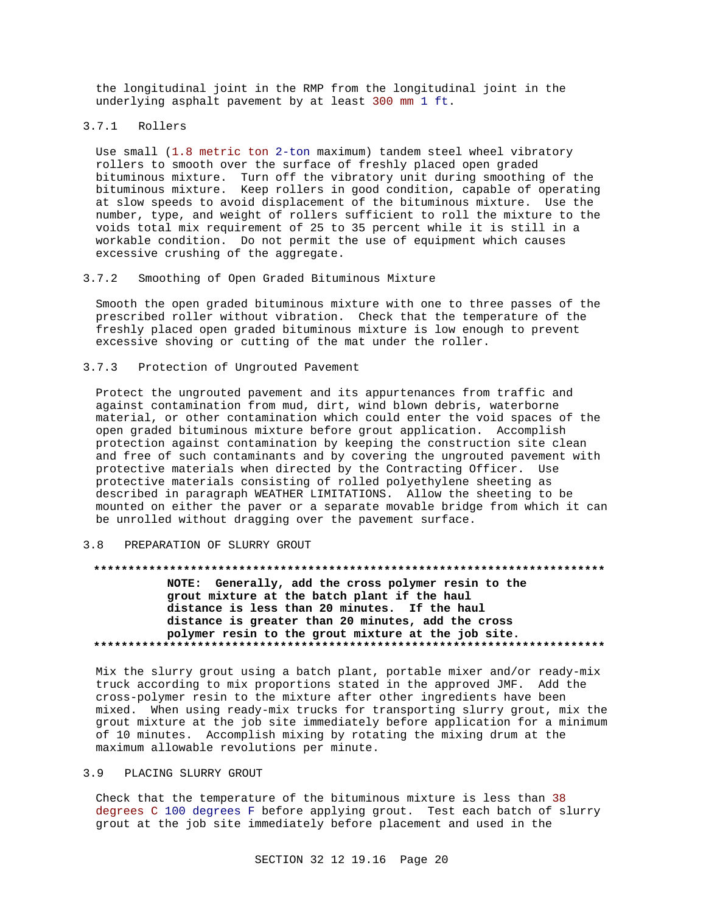the longitudinal joint in the RMP from the longitudinal joint in the underlying asphalt pavement by at least 300 mm 1 ft.

3.7.1 Rollers

Use small (1.8 metric ton 2-ton maximum) tandem steel wheel vibratory rollers to smooth over the surface of freshly placed open graded bituminous mixture. Turn off the vibratory unit during smoothing of the bituminous mixture. Keep rollers in good condition, capable of operating at slow speeds to avoid displacement of the bituminous mixture. Use the number, type, and weight of rollers sufficient to roll the mixture to the voids total mix requirement of 25 to 35 percent while it is still in a workable condition. Do not permit the use of equipment which causes excessive crushing of the aggregate.

3.7.2 Smoothing of Open Graded Bituminous Mixture

Smooth the open graded bituminous mixture with one to three passes of the prescribed roller without vibration. Check that the temperature of the freshly placed open graded bituminous mixture is low enough to prevent excessive shoving or cutting of the mat under the roller.

3.7.3 Protection of Ungrouted Pavement

Protect the ungrouted pavement and its appurtenances from traffic and against contamination from mud, dirt, wind blown debris, waterborne material, or other contamination which could enter the void spaces of the open graded bituminous mixture before grout application. Accomplish protection against contamination by keeping the construction site clean and free of such contaminants and by covering the ungrouted pavement with protective materials when directed by the Contracting Officer. Use protective materials consisting of rolled polyethylene sheeting as described in paragraph WEATHER LIMITATIONS. Allow the sheeting to be mounted on either the paver or a separate movable bridge from which it can be unrolled without dragging over the pavement surface.

#### 3.8 PREPARATION OF SLURRY GROUT

#### **\*\*\*\*\*\*\*\*\*\*\*\*\*\*\*\*\*\*\*\*\*\*\*\*\*\*\*\*\*\*\*\*\*\*\*\*\*\*\*\*\*\*\*\*\*\*\*\*\*\*\*\*\*\*\*\*\*\*\*\*\*\*\*\*\*\*\*\*\*\*\*\*\*\***

**NOTE: Generally, add the cross polymer resin to the grout mixture at the batch plant if the haul distance is less than 20 minutes. If the haul distance is greater than 20 minutes, add the cross polymer resin to the grout mixture at the job site. \*\*\*\*\*\*\*\*\*\*\*\*\*\*\*\*\*\*\*\*\*\*\*\*\*\*\*\*\*\*\*\*\*\*\*\*\*\*\*\*\*\*\*\*\*\*\*\*\*\*\*\*\*\*\*\*\*\*\*\*\*\*\*\*\*\*\*\*\*\*\*\*\*\***

Mix the slurry grout using a batch plant, portable mixer and/or ready-mix truck according to mix proportions stated in the approved JMF. Add the cross-polymer resin to the mixture after other ingredients have been mixed. When using ready-mix trucks for transporting slurry grout, mix the grout mixture at the job site immediately before application for a minimum of 10 minutes. Accomplish mixing by rotating the mixing drum at the maximum allowable revolutions per minute.

#### 3.9 PLACING SLURRY GROUT

Check that the temperature of the bituminous mixture is less than 38 degrees C 100 degrees F before applying grout. Test each batch of slurry grout at the job site immediately before placement and used in the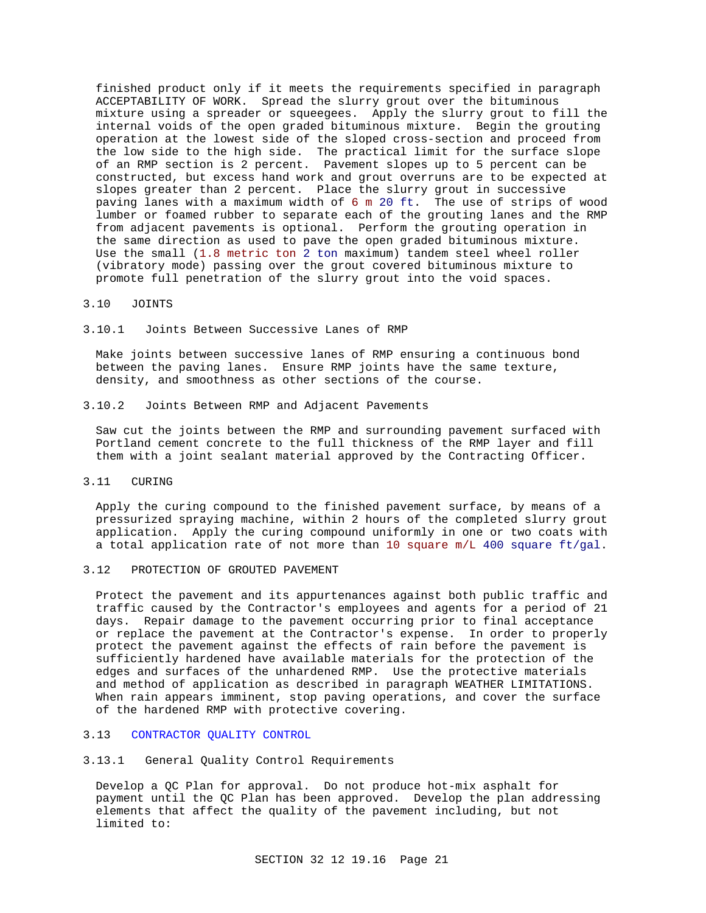finished product only if it meets the requirements specified in paragraph ACCEPTABILITY OF WORK. Spread the slurry grout over the bituminous mixture using a spreader or squeegees. Apply the slurry grout to fill the internal voids of the open graded bituminous mixture. Begin the grouting operation at the lowest side of the sloped cross-section and proceed from the low side to the high side. The practical limit for the surface slope of an RMP section is 2 percent. Pavement slopes up to 5 percent can be constructed, but excess hand work and grout overruns are to be expected at slopes greater than 2 percent. Place the slurry grout in successive paving lanes with a maximum width of 6 m 20 ft. The use of strips of wood lumber or foamed rubber to separate each of the grouting lanes and the RMP from adjacent pavements is optional. Perform the grouting operation in the same direction as used to pave the open graded bituminous mixture. Use the small (1.8 metric ton 2 ton maximum) tandem steel wheel roller (vibratory mode) passing over the grout covered bituminous mixture to promote full penetration of the slurry grout into the void spaces.

#### 3.10 JOINTS

3.10.1 Joints Between Successive Lanes of RMP

Make joints between successive lanes of RMP ensuring a continuous bond between the paving lanes. Ensure RMP joints have the same texture, density, and smoothness as other sections of the course.

3.10.2 Joints Between RMP and Adjacent Pavements

Saw cut the joints between the RMP and surrounding pavement surfaced with Portland cement concrete to the full thickness of the RMP layer and fill them with a joint sealant material approved by the Contracting Officer.

3.11 CURING

Apply the curing compound to the finished pavement surface, by means of a pressurized spraying machine, within 2 hours of the completed slurry grout application. Apply the curing compound uniformly in one or two coats with a total application rate of not more than 10 square m/L 400 square ft/gal.

3.12 PROTECTION OF GROUTED PAVEMENT

Protect the pavement and its appurtenances against both public traffic and traffic caused by the Contractor's employees and agents for a period of 21 days. Repair damage to the pavement occurring prior to final acceptance or replace the pavement at the Contractor's expense. In order to properly protect the pavement against the effects of rain before the pavement is sufficiently hardened have available materials for the protection of the edges and surfaces of the unhardened RMP. Use the protective materials and method of application as described in paragraph WEATHER LIMITATIONS. When rain appears imminent, stop paving operations, and cover the surface of the hardened RMP with protective covering.

#### 3.13 CONTRACTOR QUALITY CONTROL

## 3.13.1 General Quality Control Requirements

Develop a QC Plan for approval. Do not produce hot-mix asphalt for payment until the QC Plan has been approved. Develop the plan addressing elements that affect the quality of the pavement including, but not limited to: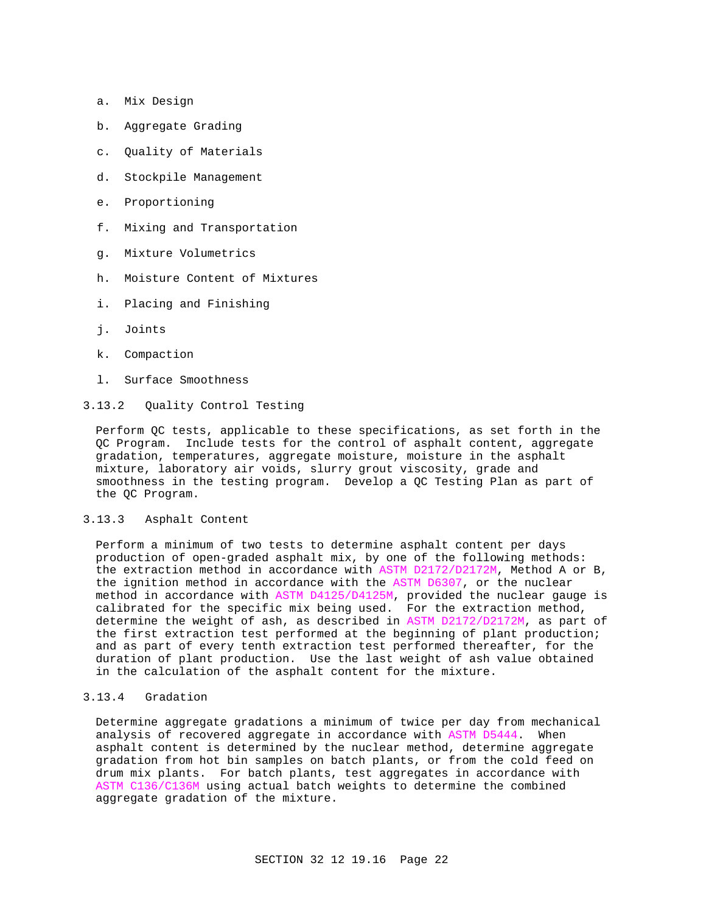- a. Mix Design
- b. Aggregate Grading
- c. Quality of Materials
- d. Stockpile Management
- e. Proportioning
- f. Mixing and Transportation
- g. Mixture Volumetrics
- h. Moisture Content of Mixtures
- i. Placing and Finishing
- j. Joints
- k. Compaction
- l. Surface Smoothness
- 3.13.2 Quality Control Testing

Perform QC tests, applicable to these specifications, as set forth in the QC Program. Include tests for the control of asphalt content, aggregate gradation, temperatures, aggregate moisture, moisture in the asphalt mixture, laboratory air voids, slurry grout viscosity, grade and smoothness in the testing program. Develop a QC Testing Plan as part of the QC Program.

#### 3.13.3 Asphalt Content

Perform a minimum of two tests to determine asphalt content per days production of open-graded asphalt mix, by one of the following methods: the extraction method in accordance with ASTM D2172/D2172M, Method A or B, the ignition method in accordance with the ASTM D6307, or the nuclear method in accordance with ASTM D4125/D4125M, provided the nuclear gauge is calibrated for the specific mix being used. For the extraction method, determine the weight of ash, as described in ASTM D2172/D2172M, as part of the first extraction test performed at the beginning of plant production; and as part of every tenth extraction test performed thereafter, for the duration of plant production. Use the last weight of ash value obtained in the calculation of the asphalt content for the mixture.

## 3.13.4 Gradation

Determine aggregate gradations a minimum of twice per day from mechanical analysis of recovered aggregate in accordance with ASTM D5444. When asphalt content is determined by the nuclear method, determine aggregate gradation from hot bin samples on batch plants, or from the cold feed on drum mix plants. For batch plants, test aggregates in accordance with ASTM C136/C136M using actual batch weights to determine the combined aggregate gradation of the mixture.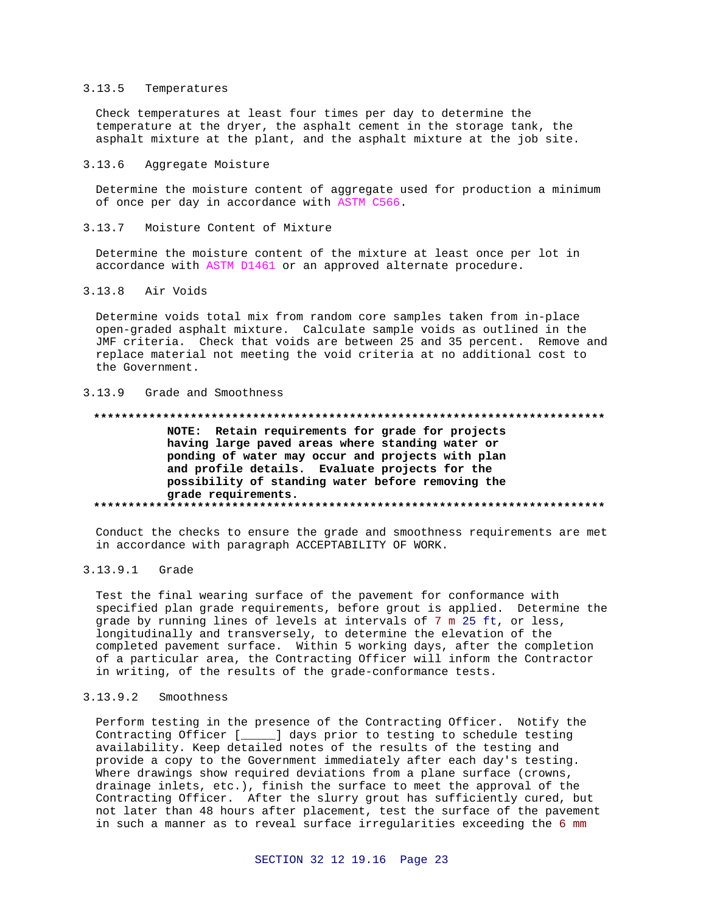#### $3.13.5$ Temperatures

Check temperatures at least four times per day to determine the temperature at the dryer, the asphalt cement in the storage tank, the asphalt mixture at the plant, and the asphalt mixture at the job site.

#### $3.13.6$ Aggregate Moisture

Determine the moisture content of aggregate used for production a minimum of once per day in accordance with ASTM C566.

#### $3.13.7$ Moisture Content of Mixture

Determine the moisture content of the mixture at least once per lot in accordance with ASTM D1461 or an approved alternate procedure.

#### $3.13.8$ Air Voids

Determine voids total mix from random core samples taken from in-place open-graded asphalt mixture. Calculate sample voids as outlined in the JMF criteria. Check that voids are between 25 and 35 percent. Remove and replace material not meeting the void criteria at no additional cost to the Government.

#### $3.13.9$ Grade and Smoothness

#### 

NOTE: Retain requirements for grade for projects having large paved areas where standing water or ponding of water may occur and projects with plan and profile details. Evaluate projects for the possibility of standing water before removing the grade requirements. 

Conduct the checks to ensure the grade and smoothness requirements are met in accordance with paragraph ACCEPTABILITY OF WORK.

#### $3.13.9.1$ Grade

Test the final wearing surface of the pavement for conformance with specified plan grade requirements, before grout is applied. Determine the grade by running lines of levels at intervals of 7 m 25 ft, or less, longitudinally and transversely, to determine the elevation of the completed pavement surface. Within 5 working days, after the completion of a particular area, the Contracting Officer will inform the Contractor in writing, of the results of the grade-conformance tests.

#### $3.13.9.2$ Smoothness

Perform testing in the presence of the Contracting Officer. Notify the Contracting Officer [\_\_\_\_\_] days prior to testing to schedule testing availability. Keep detailed notes of the results of the testing and provide a copy to the Government immediately after each day's testing. Where drawings show required deviations from a plane surface (crowns, drainage inlets, etc.), finish the surface to meet the approval of the Contracting Officer. After the slurry grout has sufficiently cured, but not later than 48 hours after placement, test the surface of the pavement in such a manner as to reveal surface irregularities exceeding the 6 mm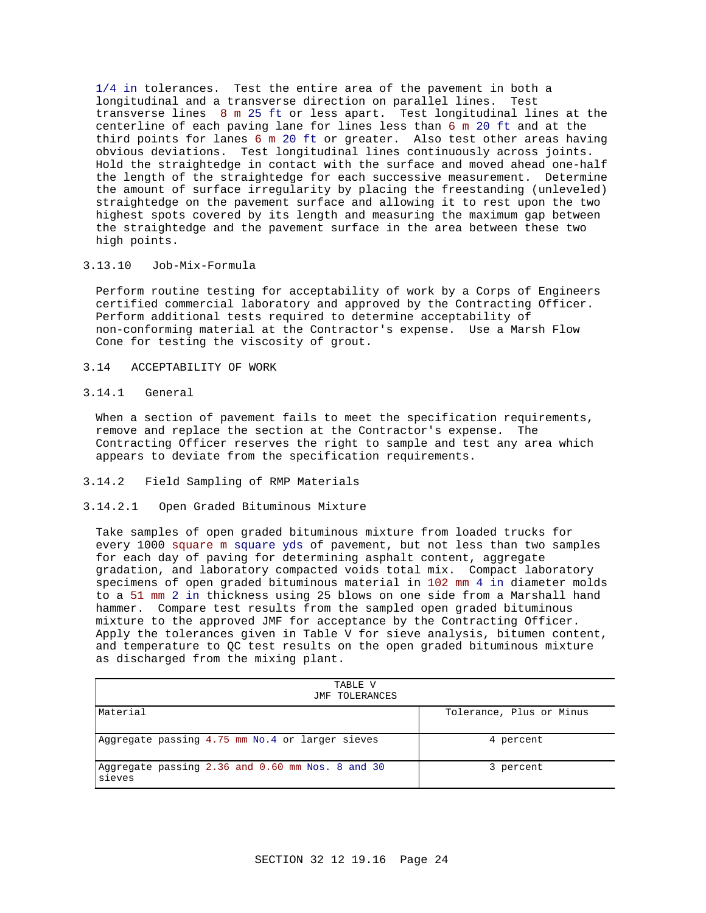1/4 in tolerances. Test the entire area of the pavement in both a longitudinal and a transverse direction on parallel lines. Test transverse lines 8 m 25 ft or less apart. Test longitudinal lines at the centerline of each paving lane for lines less than 6 m 20 ft and at the third points for lanes 6 m 20 ft or greater. Also test other areas having obvious deviations. Test longitudinal lines continuously across joints. Hold the straightedge in contact with the surface and moved ahead one-half the length of the straightedge for each successive measurement. Determine the amount of surface irregularity by placing the freestanding (unleveled) straightedge on the pavement surface and allowing it to rest upon the two highest spots covered by its length and measuring the maximum gap between the straightedge and the pavement surface in the area between these two high points.

## 3.13.10 Job-Mix-Formula

Perform routine testing for acceptability of work by a Corps of Engineers certified commercial laboratory and approved by the Contracting Officer. Perform additional tests required to determine acceptability of non-conforming material at the Contractor's expense. Use a Marsh Flow Cone for testing the viscosity of grout.

- 3.14 ACCEPTABILITY OF WORK
- 3.14.1 General

When a section of pavement fails to meet the specification requirements, remove and replace the section at the Contractor's expense. The Contracting Officer reserves the right to sample and test any area which appears to deviate from the specification requirements.

- 3.14.2 Field Sampling of RMP Materials
- 3.14.2.1 Open Graded Bituminous Mixture

Take samples of open graded bituminous mixture from loaded trucks for every 1000 square m square yds of pavement, but not less than two samples for each day of paving for determining asphalt content, aggregate gradation, and laboratory compacted voids total mix. Compact laboratory specimens of open graded bituminous material in 102 mm 4 in diameter molds to a 51 mm 2 in thickness using 25 blows on one side from a Marshall hand hammer. Compare test results from the sampled open graded bituminous mixture to the approved JMF for acceptance by the Contracting Officer. Apply the tolerances given in Table V for sieve analysis, bitumen content, and temperature to QC test results on the open graded bituminous mixture as discharged from the mixing plant.

| TABLE V<br>JMF TOLERANCES                                  |                          |  |
|------------------------------------------------------------|--------------------------|--|
| Material                                                   | Tolerance, Plus or Minus |  |
| Aggregate passing 4.75 mm No.4 or larger sieves            | 4 percent                |  |
| Aggregate passing 2.36 and 0.60 mm Nos. 8 and 30<br>sieves | 3 percent                |  |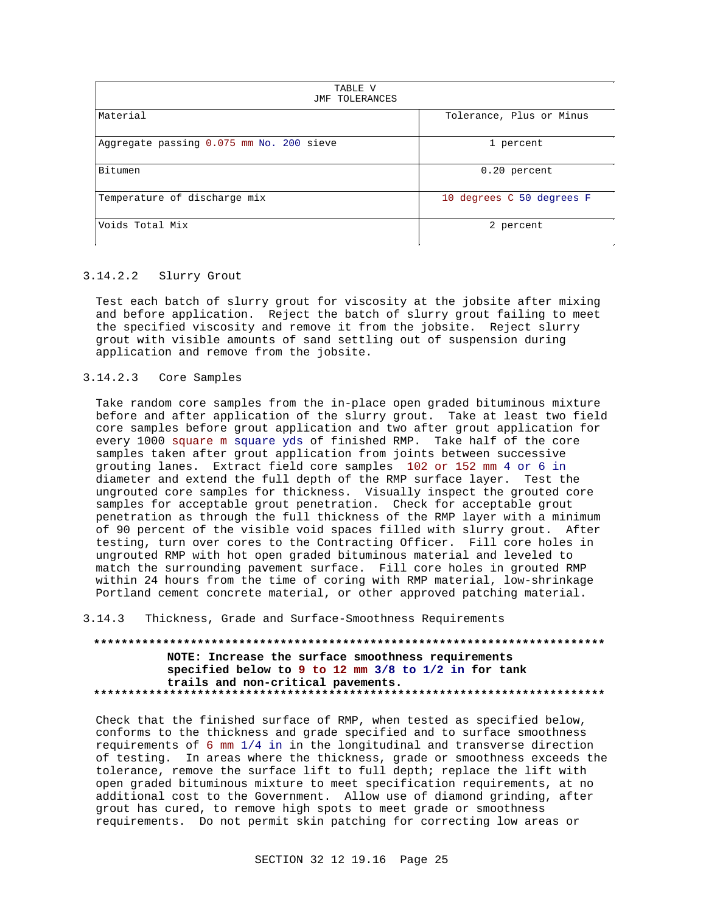| TABLE V<br>JMF TOLERANCES                |                           |
|------------------------------------------|---------------------------|
| Material                                 | Tolerance, Plus or Minus  |
| Aggregate passing 0.075 mm No. 200 sieve | 1 percent                 |
| Bitumen                                  | $0.20$ percent            |
| Temperature of discharge mix             | 10 degrees C 50 degrees F |
| Voids Total Mix                          | 2 percent                 |

#### $3.14.2.2$ Slurry Grout

Test each batch of slurry grout for viscosity at the jobsite after mixing and before application. Reject the batch of slurry grout failing to meet the specified viscosity and remove it from the jobsite. Reject slurry grout with visible amounts of sand settling out of suspension during application and remove from the jobsite.

#### $3.14.2.3$ Core Samples

Take random core samples from the in-place open graded bituminous mixture before and after application of the slurry grout. Take at least two field core samples before grout application and two after grout application for every 1000 square m square yds of finished RMP. Take half of the core samples taken after grout application from joints between successive grouting lanes. Extract field core samples 102 or 152 mm 4 or 6 in diameter and extend the full depth of the RMP surface layer. Test the ungrouted core samples for thickness. Visually inspect the grouted core samples for acceptable grout penetration. Check for acceptable grout penetration as through the full thickness of the RMP layer with a minimum of 90 percent of the visible void spaces filled with slurry grout. After testing, turn over cores to the Contracting Officer. Fill core holes in ungrouted RMP with hot open graded bituminous material and leveled to match the surrounding pavement surface. Fill core holes in grouted RMP within 24 hours from the time of coring with RMP material, low-shrinkage Portland cement concrete material, or other approved patching material.

Thickness, Grade and Surface-Smoothness Requirements  $3.14.3$ 

NOTE: Increase the surface smoothness requirements specified below to 9 to 12 mm 3/8 to 1/2 in for tank trails and non-critical pavements. 

Check that the finished surface of RMP, when tested as specified below, conforms to the thickness and grade specified and to surface smoothness requirements of 6 mm 1/4 in in the longitudinal and transverse direction of testing. In areas where the thickness, grade or smoothness exceeds the tolerance, remove the surface lift to full depth; replace the lift with open graded bituminous mixture to meet specification requirements, at no additional cost to the Government. Allow use of diamond grinding, after grout has cured, to remove high spots to meet grade or smoothness requirements. Do not permit skin patching for correcting low areas or